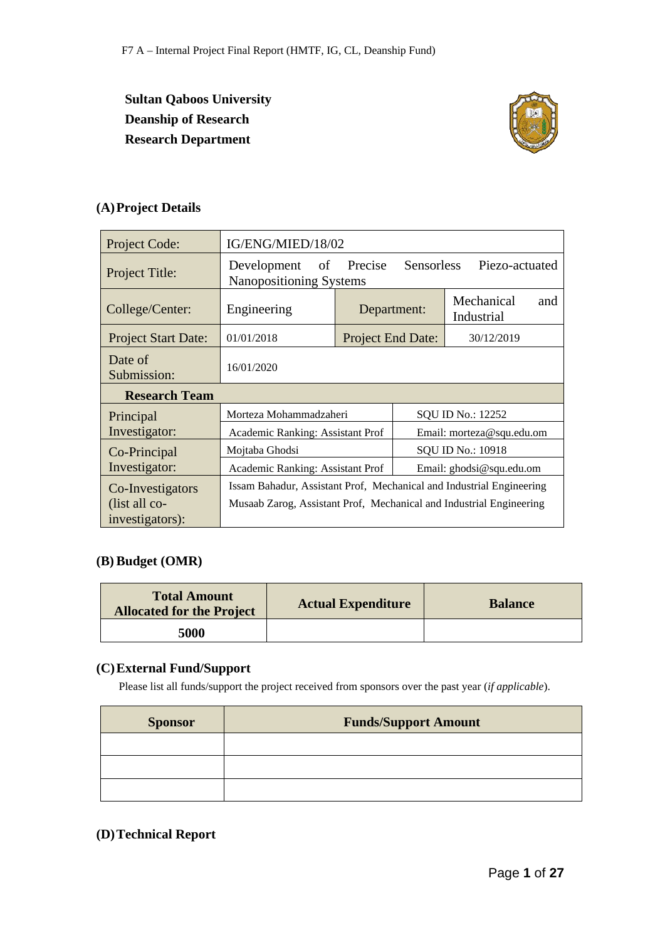**Sultan Qaboos University Deanship of Research Research Department**



# **(A)Project Details**

| Project Code:              | IG/ENG/MIED/18/02                                                    |                                                                           |  |                           |  |  |  |
|----------------------------|----------------------------------------------------------------------|---------------------------------------------------------------------------|--|---------------------------|--|--|--|
| Project Title:             | Development<br>of                                                    | Precise<br><b>Sensorless</b><br>Piezo-actuated<br>Nanopositioning Systems |  |                           |  |  |  |
| College/Center:            | Engineering                                                          | Mechanical<br>and<br>Department:<br>Industrial                            |  |                           |  |  |  |
| <b>Project Start Date:</b> | 01/01/2018                                                           | <b>Project End Date:</b>                                                  |  | 30/12/2019                |  |  |  |
| Date of<br>Submission:     | 16/01/2020                                                           |                                                                           |  |                           |  |  |  |
| <b>Research Team</b>       |                                                                      |                                                                           |  |                           |  |  |  |
| Principal                  | Morteza Mohammadzaheri                                               |                                                                           |  | SQU ID No.: 12252         |  |  |  |
| Investigator:              | Academic Ranking: Assistant Prof                                     |                                                                           |  | Email: morteza@squ.edu.om |  |  |  |
| Co-Principal               | SQU ID No.: 10918<br>Mojtaba Ghodsi                                  |                                                                           |  |                           |  |  |  |
| Investigator:              | Academic Ranking: Assistant Prof<br>Email: ghodsi@squ.edu.om         |                                                                           |  |                           |  |  |  |
| Co-Investigators           | Issam Bahadur, Assistant Prof, Mechanical and Industrial Engineering |                                                                           |  |                           |  |  |  |
| (list all co-              | Musaab Zarog, Assistant Prof, Mechanical and Industrial Engineering  |                                                                           |  |                           |  |  |  |
| investigators):            |                                                                      |                                                                           |  |                           |  |  |  |

#### **(B) Budget (OMR)**

| <b>Total Amount</b><br><b>Allocated for the Project</b> | <b>Actual Expenditure</b> | <b>Balance</b> |
|---------------------------------------------------------|---------------------------|----------------|
| 5000                                                    |                           |                |

### **(C)External Fund/Support**

Please list all funds/support the project received from sponsors over the past year (*if applicable*).

| <b>Sponsor</b> | <b>Funds/Support Amount</b> |
|----------------|-----------------------------|
|                |                             |
|                |                             |
|                |                             |

### **(D)Technical Report**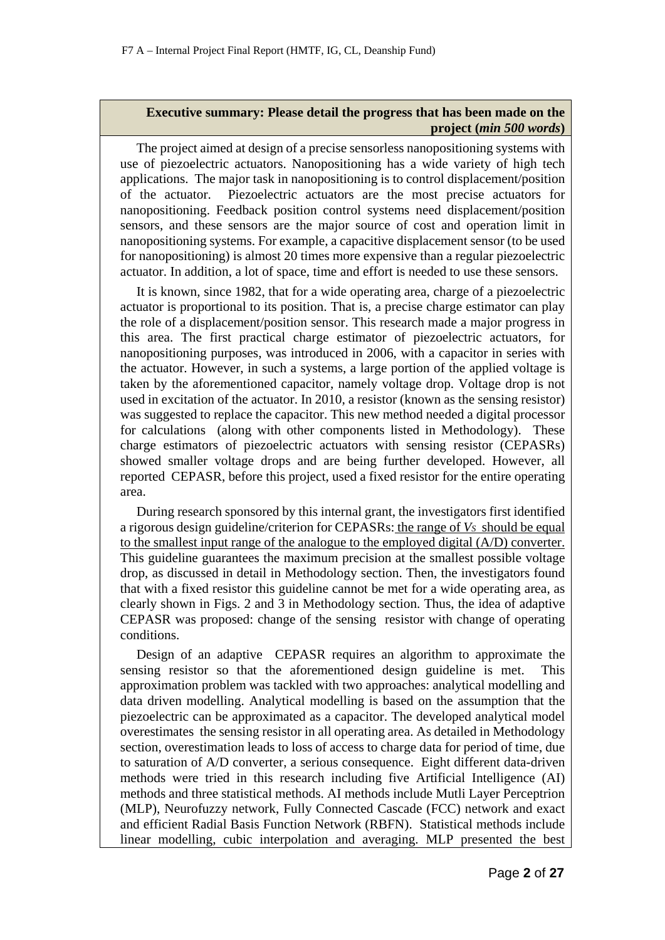### **Executive summary: Please detail the progress that has been made on the project (***min 500 words***)**

The project aimed at design of a precise sensorless nanopositioning systems with use of piezoelectric actuators. Nanopositioning has a wide variety of high tech applications. The major task in nanopositioning is to control displacement/position of the actuator. Piezoelectric actuators are the most precise actuators for nanopositioning. Feedback position control systems need displacement/position sensors, and these sensors are the major source of cost and operation limit in nanopositioning systems. For example, a capacitive displacement sensor (to be used for nanopositioning) is almost 20 times more expensive than a regular piezoelectric actuator. In addition, a lot of space, time and effort is needed to use these sensors.

It is known, since 1982, that for a wide operating area, charge of a piezoelectric actuator is proportional to its position. That is, a precise charge estimator can play the role of a displacement/position sensor. This research made a major progress in this area. The first practical charge estimator of piezoelectric actuators, for nanopositioning purposes, was introduced in 2006, with a capacitor in series with the actuator. However, in such a systems, a large portion of the applied voltage is taken by the aforementioned capacitor, namely voltage drop. Voltage drop is not used in excitation of the actuator. In 2010, a resistor (known as the sensing resistor) was suggested to replace the capacitor. This new method needed a digital processor for calculations (along with other components listed in Methodology). These charge estimators of piezoelectric actuators with sensing resistor (CEPASRs) showed smaller voltage drops and are being further developed. However, all reported CEPASR, before this project, used a fixed resistor for the entire operating area.

During research sponsored by this internal grant, the investigators first identified a rigorous design guideline/criterion for CEPASRs: the range of *VS* should be equal to the smallest input range of the analogue to the employed digital (A/D) converter. This guideline guarantees the maximum precision at the smallest possible voltage drop, as discussed in detail in Methodology section. Then, the investigators found that with a fixed resistor this guideline cannot be met for a wide operating area, as clearly shown in Figs. 2 and 3 in Methodology section. Thus, the idea of adaptive CEPASR was proposed: change of the sensing resistor with change of operating conditions.

Design of an adaptive CEPASR requires an algorithm to approximate the sensing resistor so that the aforementioned design guideline is met. This approximation problem was tackled with two approaches: analytical modelling and data driven modelling. Analytical modelling is based on the assumption that the piezoelectric can be approximated as a capacitor. The developed analytical model overestimates the sensing resistor in all operating area. As detailed in Methodology section, overestimation leads to loss of access to charge data for period of time, due to saturation of A/D converter, a serious consequence. Eight different data-driven methods were tried in this research including five Artificial Intelligence (AI) methods and three statistical methods. AI methods include Mutli Layer Perceptrion (MLP), Neurofuzzy network, Fully Connected Cascade (FCC) network and exact and efficient Radial Basis Function Network (RBFN). Statistical methods include linear modelling, cubic interpolation and averaging. MLP presented the best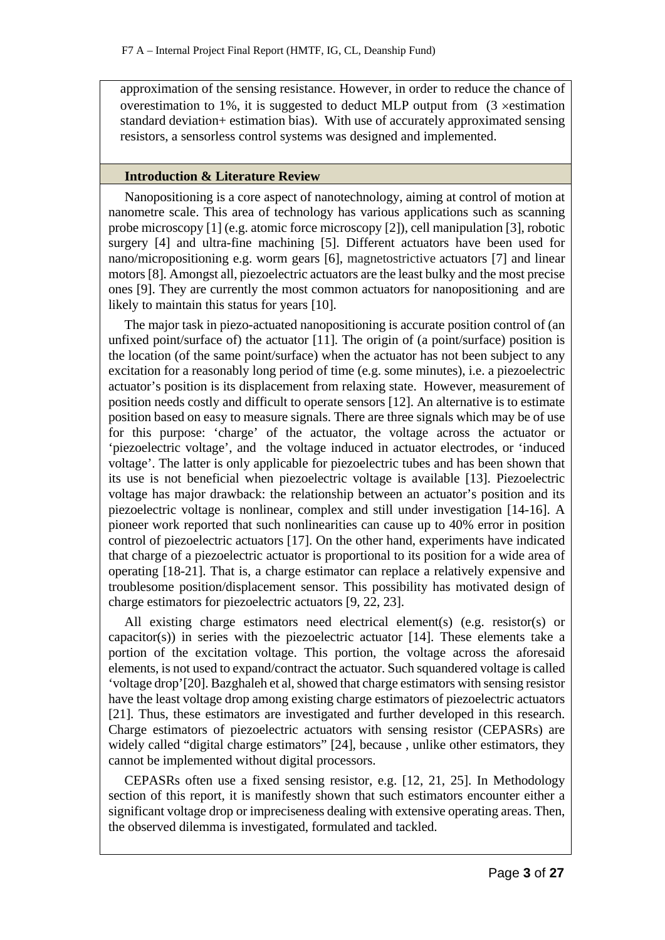approximation of the sensing resistance. However, in order to reduce the chance of overestimation to 1%, it is suggested to deduct MLP output from (3 ×estimation standard deviation+ estimation bias). With use of accurately approximated sensing resistors, a sensorless control systems was designed and implemented.

### **Introduction & Literature Review**

Nanopositioning is a core aspect of nanotechnology, aiming at control of motion at nanometre scale. This area of technology has various applications such as scanning probe microscopy [1] (e.g. atomic force microscopy [2]), cell manipulation [3], robotic surgery [4] and ultra-fine machining [5]. Different actuators have been used for nano/micropositioning e.g. worm gears [6], magnetostrictive actuators [7] and linear motors [8]. Amongst all, piezoelectric actuators are the least bulky and the most precise ones [9]. They are currently the most common actuators for nanopositioning and are likely to maintain this status for years [10].

The major task in piezo-actuated nanopositioning is accurate position control of (an unfixed point/surface of) the actuator [11]. The origin of (a point/surface) position is the location (of the same point/surface) when the actuator has not been subject to any excitation for a reasonably long period of time (e.g. some minutes), i.e. a piezoelectric actuator's position is its displacement from relaxing state. However, measurement of position needs costly and difficult to operate sensors [12]. An alternative is to estimate position based on easy to measure signals. There are three signals which may be of use for this purpose: 'charge' of the actuator, the voltage across the actuator or 'piezoelectric voltage', and the voltage induced in actuator electrodes, or 'induced voltage'. The latter is only applicable for piezoelectric tubes and has been shown that its use is not beneficial when piezoelectric voltage is available [13]. Piezoelectric voltage has major drawback: the relationship between an actuator's position and its piezoelectric voltage is nonlinear, complex and still under investigation [14-16]. A pioneer work reported that such nonlinearities can cause up to 40% error in position control of piezoelectric actuators [17]. On the other hand, experiments have indicated that charge of a piezoelectric actuator is proportional to its position for a wide area of operating [18-21]. That is, a charge estimator can replace a relatively expensive and troublesome position/displacement sensor. This possibility has motivated design of charge estimators for piezoelectric actuators [9, 22, 23].

All existing charge estimators need electrical element(s) (e.g. resistor(s) or capacitor(s)) in series with the piezoelectric actuator [14]. These elements take a portion of the excitation voltage. This portion, the voltage across the aforesaid elements, is not used to expand/contract the actuator. Such squandered voltage is called 'voltage drop'[20]. Bazghaleh et al, showed that charge estimators with sensing resistor have the least voltage drop among existing charge estimators of piezoelectric actuators [21]. Thus, these estimators are investigated and further developed in this research. Charge estimators of piezoelectric actuators with sensing resistor (CEPASRs) are widely called "digital charge estimators" [24], because, unlike other estimators, they cannot be implemented without digital processors.

CEPASRs often use a fixed sensing resistor, e.g. [12, 21, 25]. In Methodology section of this report, it is manifestly shown that such estimators encounter either a significant voltage drop or impreciseness dealing with extensive operating areas. Then, the observed dilemma is investigated, formulated and tackled.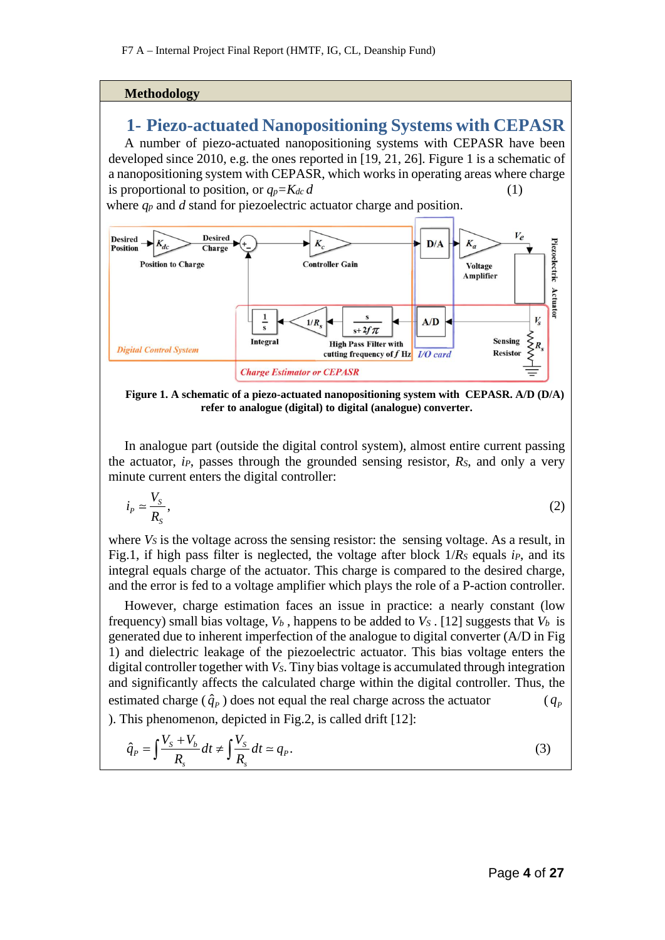#### **Methodology**

# **1- Piezo-actuated Nanopositioning Systems with CEPASR**

A number of piezo-actuated nanopositioning systems with CEPASR have been developed since 2010, e.g. the ones reported in [19, 21, 26]. Figure 1 is a schematic of a nanopositioning system with CEPASR, which works in operating areas where charge is proportional to position, or  $q_p = K_{dc} d$  (1)

where *qp* and *d* stand for piezoelectric actuator charge and position.



**Figure 1. A schematic of a piezo-actuated nanopositioning system with CEPASR. A/D (D/A) refer to analogue (digital) to digital (analogue) converter.**

In analogue part (outside the digital control system), almost entire current passing the actuator, *iP*, passes through the grounded sensing resistor, *RS*, and only a very minute current enters the digital controller:

$$
i_P \simeq \frac{V_S}{R_S},\tag{2}
$$

where *Vs* is the voltage across the sensing resistor: the sensing voltage. As a result, in Fig.1, if high pass filter is neglected, the voltage after block  $1/R_s$  equals *ip*, and its integral equals charge of the actuator. This charge is compared to the desired charge, and the error is fed to a voltage amplifier which plays the role of a P-action controller.

However, charge estimation faces an issue in practice: a nearly constant (low frequency) small bias voltage,  $V_b$ , happens to be added to  $V_s$ . [12] suggests that  $V_b$  is generated due to inherent imperfection of the analogue to digital converter (A/D in Fig 1) and dielectric leakage of the piezoelectric actuator. This bias voltage enters the digital controller together with *VS*. Tiny bias voltage is accumulated through integration and significantly affects the calculated charge within the digital controller. Thus, the estimated charge  $(\hat{q}_p)$  does not equal the real charge across the actuator ( $q_p$ ) ). This phenomenon, depicted in Fig.2, is called drift [12]:

$$
\hat{q}_P = \int \frac{V_s + V_b}{R_s} dt \neq \int \frac{V_s}{R_s} dt \approx q_P. \tag{3}
$$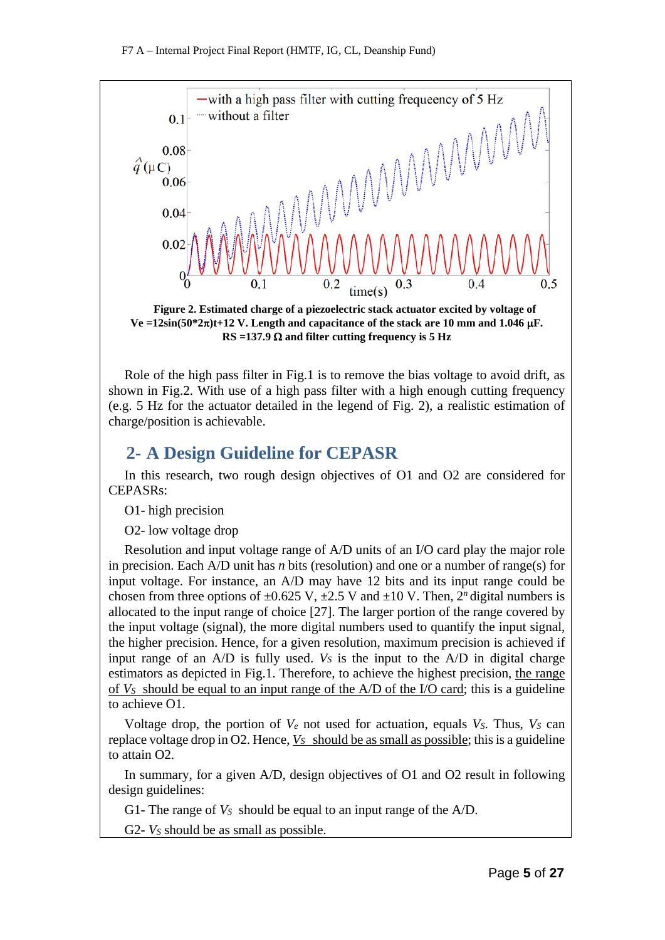

**Figure 2. Estimated charge of a piezoelectric stack actuator excited by voltage of Ve =12sin(50\*2**π**)t+12 V. Length and capacitance of the stack are 10 mm and 1.046** µ**F. RS =137.9** Ω **and filter cutting frequency is 5 Hz** 

Role of the high pass filter in Fig.1 is to remove the bias voltage to avoid drift, as shown in Fig.2. With use of a high pass filter with a high enough cutting frequency (e.g. 5 Hz for the actuator detailed in the legend of Fig. 2), a realistic estimation of charge/position is achievable.

# **2- A Design Guideline for CEPASR**

In this research, two rough design objectives of O1 and O2 are considered for CEPASRs:

O1- high precision

O2- low voltage drop

Resolution and input voltage range of A/D units of an I/O card play the major role in precision. Each A/D unit has *n* bits (resolution) and one or a number of range(s) for input voltage. For instance, an A/D may have 12 bits and its input range could be chosen from three options of  $\pm 0.625$  V,  $\pm 2.5$  V and  $\pm 10$  V. Then, 2<sup>n</sup> digital numbers is allocated to the input range of choice [27]. The larger portion of the range covered by the input voltage (signal), the more digital numbers used to quantify the input signal, the higher precision. Hence, for a given resolution, maximum precision is achieved if input range of an  $A/D$  is fully used.  $V<sub>S</sub>$  is the input to the  $A/D$  in digital charge estimators as depicted in Fig.1. Therefore, to achieve the highest precision, the range of *VS* should be equal to an input range of the A/D of the I/O card; this is a guideline to achieve O1.

Voltage drop, the portion of  $V_e$  not used for actuation, equals  $V_s$ . Thus,  $V_s$  can replace voltage drop in O2. Hence, *VS* should be as small as possible; this is a guideline to attain O2.

In summary, for a given A/D, design objectives of O1 and O2 result in following design guidelines:

G1- The range of *VS* should be equal to an input range of the A/D.

G2- *VS* should be as small as possible.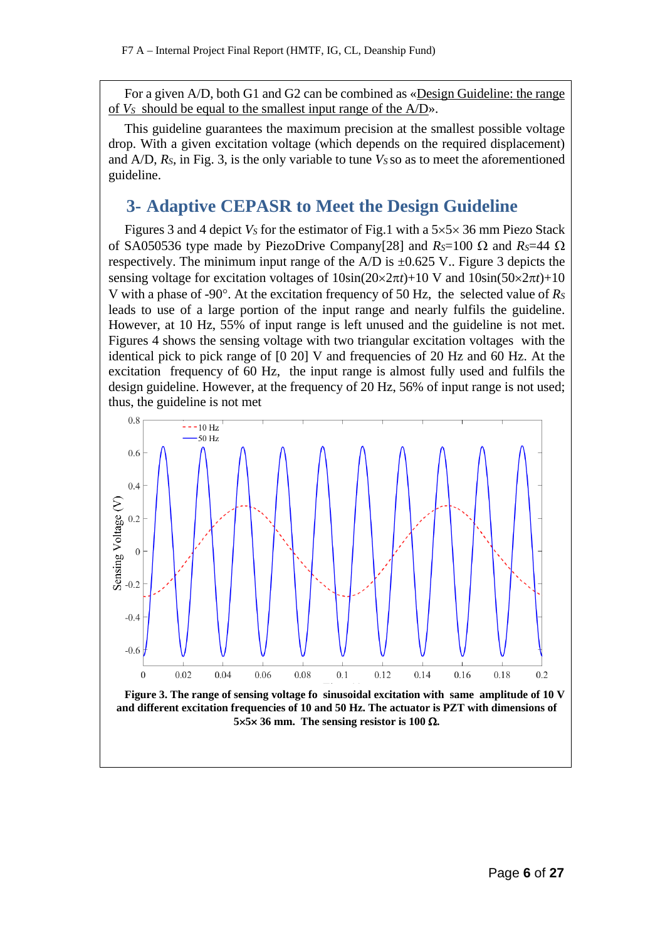For a given A/D, both G1 and G2 can be combined as «Design Guideline: the range of *VS* should be equal to the smallest input range of the A/D».

This guideline guarantees the maximum precision at the smallest possible voltage drop. With a given excitation voltage (which depends on the required displacement) and  $A/D$ ,  $R_s$ , in Fig. 3, is the only variable to tune  $V_s$  so as to meet the aforementioned guideline.

# **3- Adaptive CEPASR to Meet the Design Guideline**

Figures 3 and 4 depict  $V_s$  for the estimator of Fig.1 with a  $5 \times 5 \times 36$  mm Piezo Stack of SA050536 type made by PiezoDrive Company[28] and *RS*=100 Ω and *RS*=44 Ω respectively. The minimum input range of the  $A/D$  is  $\pm 0.625$  V.. Figure 3 depicts the sensing voltage for excitation voltages of 10sin(20×2π*t*)+10 V and 10sin(50×2π*t*)+10 V with a phase of -90°. At the excitation frequency of 50 Hz, the selected value of *RS* leads to use of a large portion of the input range and nearly fulfils the guideline. However, at 10 Hz, 55% of input range is left unused and the guideline is not met. Figures 4 shows the sensing voltage with two triangular excitation voltages with the identical pick to pick range of [0 20] V and frequencies of 20 Hz and 60 Hz. At the excitation frequency of 60 Hz, the input range is almost fully used and fulfils the design guideline. However, at the frequency of 20 Hz, 56% of input range is not used; thus, the guideline is not met

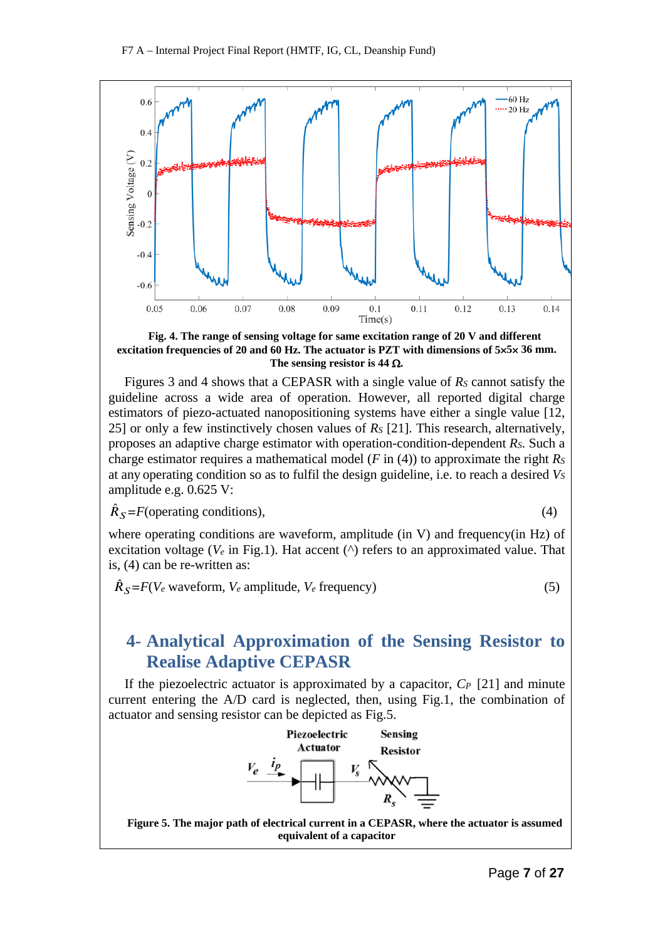

**Fig. 4. The range of sensing voltage for same excitation range of 20 V and different excitation frequencies of 20 and 60 Hz. The actuator is PZT with dimensions of 5**×**5**× **36 mm. The sensing resistor is 44** Ω**.**

Figures 3 and 4 shows that a CEPASR with a single value of *RS* cannot satisfy the guideline across a wide area of operation. However, all reported digital charge estimators of piezo-actuated nanopositioning systems have either a single value [12, 25] or only a few instinctively chosen values of *RS* [21]. This research, alternatively, proposes an adaptive charge estimator with operation-condition-dependent *RS*. Such a charge estimator requires a mathematical model ( $F$  in (4)) to approximate the right  $R<sub>S</sub>$ at any operating condition so as to fulfil the design guideline, i.e. to reach a desired *VS* amplitude e.g. 0.625 V:

$$
\hat{R}_S = F(\text{operating conditions}),\tag{4}
$$

$$
^{(4)}
$$

where operating conditions are waveform, amplitude (in V) and frequency (in Hz) of excitation voltage ( $V_e$  in Fig.1). Hat accent ( $\land$ ) refers to an approximated value. That is, (4) can be re-written as:

 $\hat{R}_S = F(V_e \text{ waveform}, V_e \text{ amplitude}, V_e \text{ frequency})$  (5)

# **4- Analytical Approximation of the Sensing Resistor to Realise Adaptive CEPASR**

If the piezoelectric actuator is approximated by a capacitor, *CP* [21] and minute current entering the A/D card is neglected, then, using Fig.1, the combination of actuator and sensing resistor can be depicted as Fig.5.



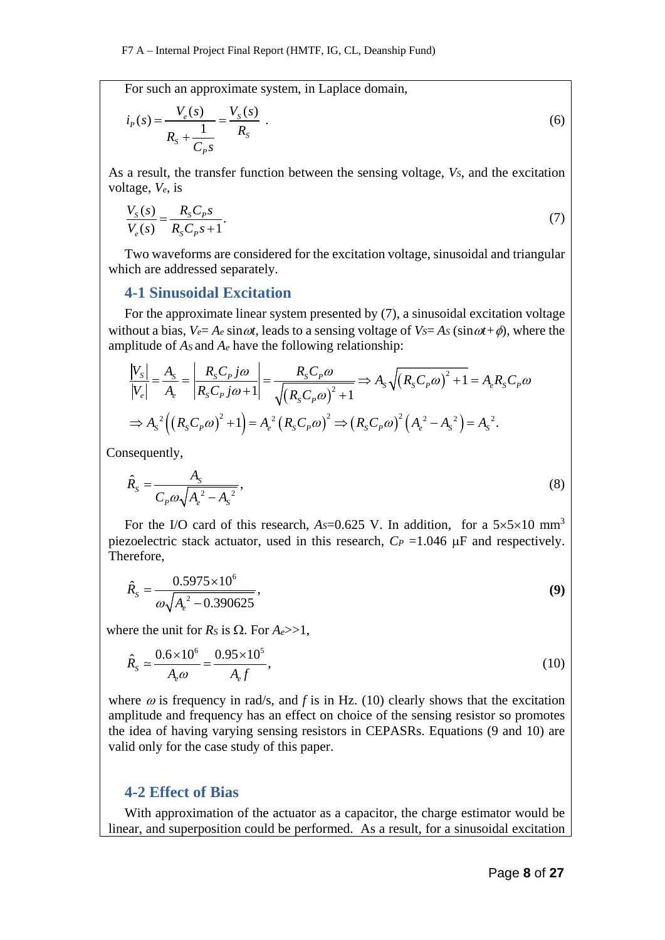For such an approximate system, in Laplace domain,

$$
i_{P}(s) = \frac{V_{e}(s)}{R_{s} + \frac{1}{C_{P}s}} = \frac{V_{s}(s)}{R_{s}}.
$$
\n(6)

As a result, the transfer function between the sensing voltage,  $V_s$ , and the excitation voltage, *Ve*, is

$$
\frac{V_s(s)}{V_e(s)} = \frac{R_s C_p s}{R_s C_p s + 1}.
$$
\n(7)

Two waveforms are considered for the excitation voltage, sinusoidal and triangular which are addressed separately.

### **4-1 Sinusoidal Excitation**

For the approximate linear system presented by (7), a sinusoidal excitation voltage without a bias,  $V_e = A_e \sin \omega t$ , leads to a sensing voltage of  $V_s = As(\sin \omega t + \phi)$ , where the amplitude of  $A_s$  and  $A_e$  have the following relationship:

$$
\frac{|V_{S}|}{|V_{e}|} = \frac{A_{S}}{A_{e}} = \left| \frac{R_{S}C_{P}j\omega}{R_{S}C_{P}j\omega + 1} \right| = \frac{R_{S}C_{P}\omega}{\sqrt{(R_{S}C_{P}\omega)^{2} + 1}} \Rightarrow A_{S}\sqrt{(R_{S}C_{P}\omega)^{2} + 1} = A_{e}R_{S}C_{P}\omega
$$

$$
\Rightarrow A_{S}^{2}\left(\left(R_{S}C_{P}\omega\right)^{2} + 1\right) = A_{e}^{2}\left(R_{S}C_{P}\omega\right)^{2} \Rightarrow \left(R_{S}C_{P}\omega\right)^{2}\left(A_{e}^{2} - A_{S}^{2}\right) = A_{S}^{2}.
$$

Consequently,

$$
\hat{R}_s = \frac{A_s}{C_p \omega \sqrt{A_e^2 - A_s^2}},\tag{8}
$$

For the I/O card of this research,  $A<sub>S</sub>=0.625$  V. In addition, for a  $5\times5\times10$  mm<sup>3</sup> piezoelectric stack actuator, used in this research,  $C_P = 1.046 \mu F$  and respectively. Therefore,

$$
\hat{R}_s = \frac{0.5975 \times 10^6}{\omega \sqrt{A_e^2 - 0.390625}},
$$
\n(9)

where the unit for  $R_s$  is  $\Omega$ . For  $A_e \gg 1$ ,

$$
\hat{R}_s \simeq \frac{0.6 \times 10^6}{A_e \omega} = \frac{0.95 \times 10^5}{A_e f},
$$
\n(10)

where  $\omega$  is frequency in rad/s, and f is in Hz. (10) clearly shows that the excitation amplitude and frequency has an effect on choice of the sensing resistor so promotes the idea of having varying sensing resistors in CEPASRs. Equations (9 and 10) are valid only for the case study of this paper.

### **4-2 Effect of Bias**

With approximation of the actuator as a capacitor, the charge estimator would be linear, and superposition could be performed. As a result, for a sinusoidal excitation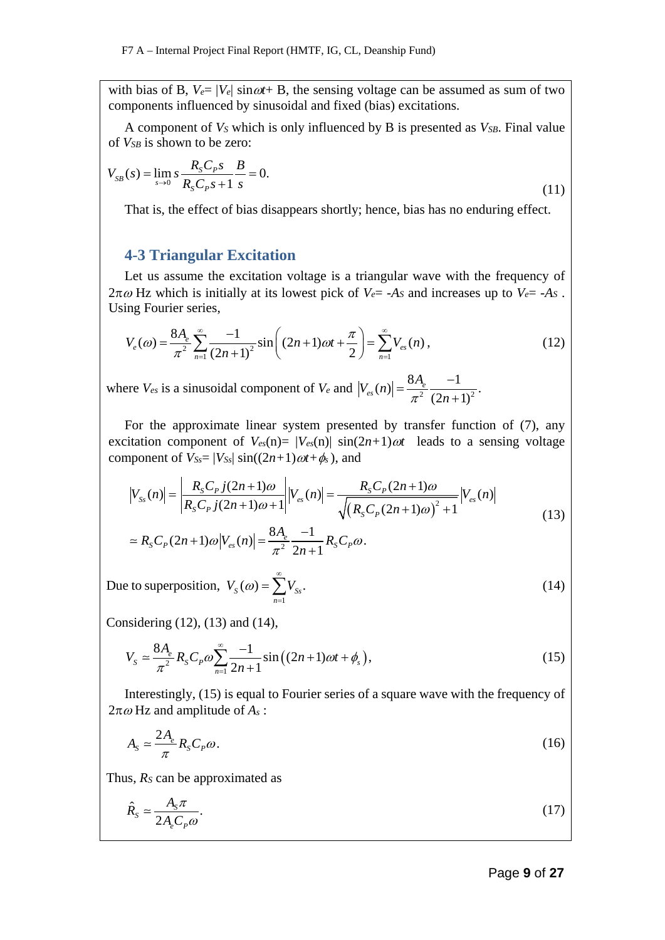with bias of B,  $V_{e} = |V_{e}| \sin \omega t + B$ , the sensing voltage can be assumed as sum of two components influenced by sinusoidal and fixed (bias) excitations.

A component of *VS* which is only influenced by B is presented as *VSB*. Final value of *VSB* is shown to be zero:

$$
V_{SB}(s) = \lim_{s \to 0} s \frac{R_s C_p s}{R_s C_p s + 1} \frac{B}{s} = 0.
$$
\n(11)

That is, the effect of bias disappears shortly; hence, bias has no enduring effect.

### **4-3 Triangular Excitation**

Let us assume the excitation voltage is a triangular wave with the frequency of  $2\pi\omega$  Hz which is initially at its lowest pick of  $V_{e} = -As$  and increases up to  $V_{e} = -As$ . Using Fourier series,

$$
V_e(\omega) = \frac{8A_e}{\pi^2} \sum_{n=1}^{\infty} \frac{-1}{(2n+1)^2} \sin\left((2n+1)\omega t + \frac{\pi}{2}\right) = \sum_{n=1}^{\infty} V_{es}(n) , \qquad (12)
$$

where  $V_{es}$  is a sinusoidal component of  $V_e$  and  $|V_{es}(n)| = \frac{8A_e}{\pi^2} \frac{-1}{(2n+1)^2}$ .  $=\frac{8A_e}{\pi^2}\frac{-1}{(2n+1)}$ 

For the approximate linear system presented by transfer function of (7), any excitation component of  $V_{es}(n) = |V_{es}(n)| \sin(2n+1) \omega t$  leads to a sensing voltage component of  $V_{SS} = |V_{SS}| \sin((2n+1)\omega t + \phi_s)$ , and

$$
|V_{ss}(n)| = \left| \frac{R_s C_p j(2n+1)\omega}{R_s C_p j(2n+1)\omega + 1} \right| |V_{es}(n)| = \frac{R_s C_p (2n+1)\omega}{\sqrt{\left(R_s C_p (2n+1)\omega\right)^2 + 1}} |V_{es}(n)| \tag{13}
$$

$$
\approx R_{S}C_{P}(2n+1)\omega|V_{es}(n)| = \frac{8A_{e}}{\pi^{2}} \frac{-1}{2n+1} R_{S}C_{P}\omega.
$$

Due to superposition, 1  $V_{S}(\omega) = \sum V_{Ss}.$ *n*  $V_s(\omega) = \sum V$ ∞  $\omega$ ) =  $\sum_{n=1} V_{ss}$ . (14)

Considering (12), (13) and (14),

$$
V_{S} \simeq \frac{8A_{e}}{\pi^{2}} R_{S} C_{P} \omega \sum_{n=1}^{\infty} \frac{-1}{2n+1} \sin \left( (2n+1)\omega t + \phi_{s} \right), \tag{15}
$$

Interestingly, (15) is equal to Fourier series of a square wave with the frequency of 2π<sup>ω</sup> Hz and amplitude of *As* :

$$
A_s \simeq \frac{2A_e}{\pi} R_s C_p \omega. \tag{16}
$$

Thus, *RS* can be approximated as

$$
\hat{R}_s \simeq \frac{A_s \pi}{2A_e C_p \omega}.\tag{17}
$$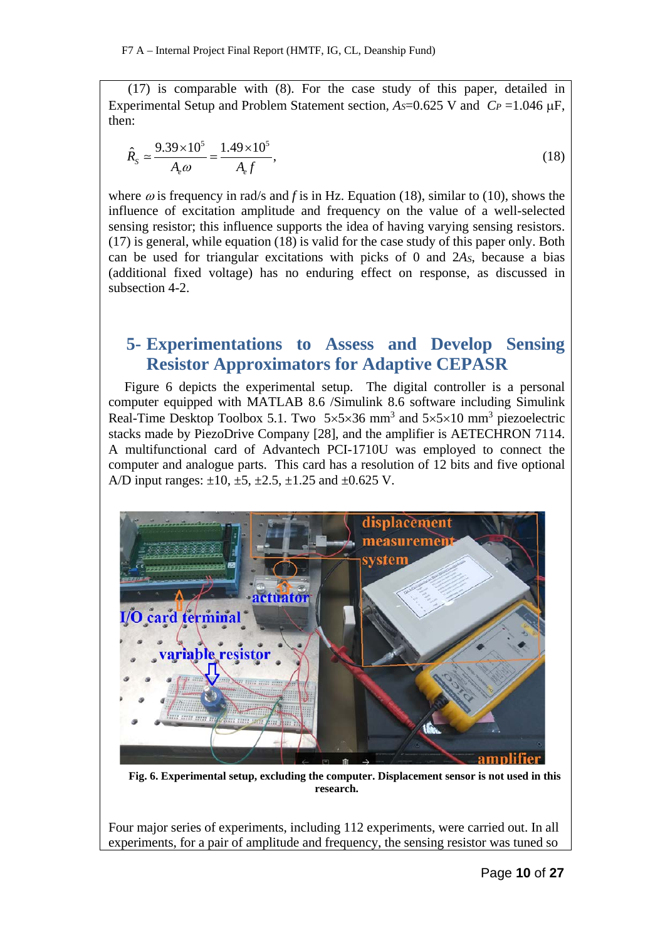(17) is comparable with (8). For the case study of this paper, detailed in Experimental Setup and Problem Statement section,  $A<sub>S</sub>=0.625$  V and  $C<sub>P</sub>=1.046$   $\mu$ F, then:

$$
\hat{R}_s \simeq \frac{9.39 \times 10^5}{A_e \omega} = \frac{1.49 \times 10^5}{A_e f},
$$
\n(18)

where  $\omega$  is frequency in rad/s and *f* is in Hz. Equation (18), similar to (10), shows the influence of excitation amplitude and frequency on the value of a well-selected sensing resistor; this influence supports the idea of having varying sensing resistors. (17) is general, while equation (18) is valid for the case study of this paper only. Both can be used for triangular excitations with picks of 0 and 2*AS*, because a bias (additional fixed voltage) has no enduring effect on response, as discussed in subsection 4-2.

# **5- Experimentations to Assess and Develop Sensing Resistor Approximators for Adaptive CEPASR**

Figure 6 depicts the experimental setup. The digital controller is a personal computer equipped with MATLAB 8.6 /Simulink 8.6 software including Simulink Real-Time Desktop Toolbox 5.1. Two  $5 \times 5 \times 36$  mm<sup>3</sup> and  $5 \times 5 \times 10$  mm<sup>3</sup> piezoelectric stacks made by PiezoDrive Company [28], and the amplifier is AETECHRON 7114. A multifunctional card of Advantech PCI-1710U was employed to connect the computer and analogue parts. This card has a resolution of 12 bits and five optional A/D input ranges:  $\pm 10, \pm 5, \pm 2.5, \pm 1.25$  and  $\pm 0.625$  V.



**Fig. 6. Experimental setup, excluding the computer. Displacement sensor is not used in this research.**

Four major series of experiments, including 112 experiments, were carried out. In all experiments, for a pair of amplitude and frequency, the sensing resistor was tuned so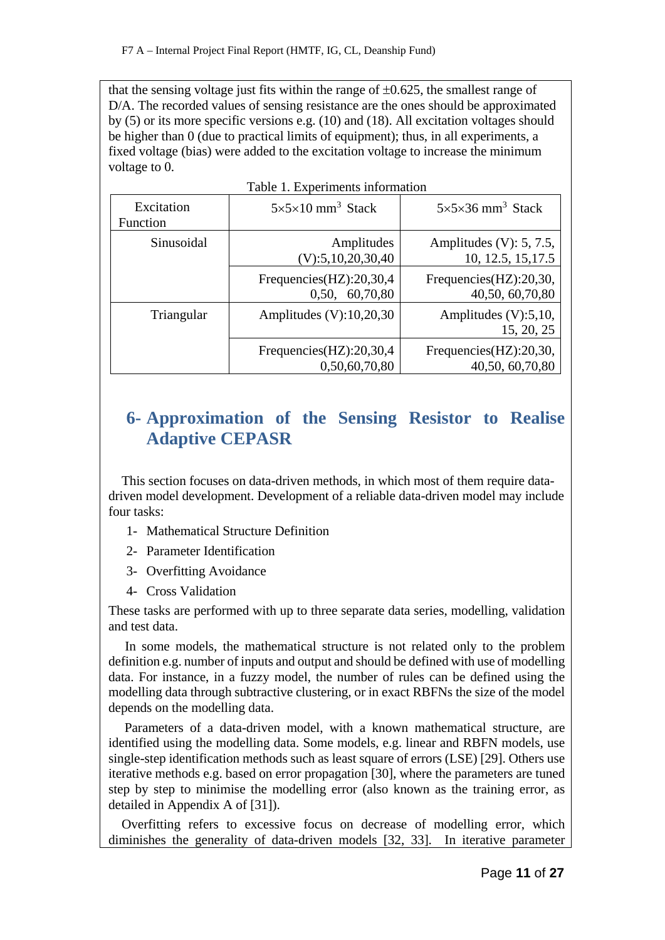that the sensing voltage just fits within the range of  $\pm 0.625$ , the smallest range of D/A. The recorded values of sensing resistance are the ones should be approximated by (5) or its more specific versions e.g. (10) and (18). All excitation voltages should be higher than 0 (due to practical limits of equipment); thus, in all experiments, a fixed voltage (bias) were added to the excitation voltage to increase the minimum voltage to 0.

| Excitation | $5 \times 5 \times 10$ mm <sup>3</sup> Stack | $5\times5\times36$ mm <sup>3</sup> Stack |
|------------|----------------------------------------------|------------------------------------------|
| Function   |                                              |                                          |
| Sinusoidal | Amplitudes                                   | Amplitudes (V): $5, 7.5$ ,               |
|            | (V): 5, 10, 20, 30, 40                       | 10, 12.5, 15, 17.5                       |
|            | Frequencies(HZ):20,30,4                      | Frequencies(HZ):20,30,                   |
|            | 0,50, 60,70,80                               | 40,50, 60,70,80                          |
| Triangular | Amplitudes $(V): 10, 20, 30$                 | Amplitudes $(V):$ 5,10,                  |
|            |                                              | 15, 20, 25                               |
|            | Frequencies(HZ):20,30,4                      | Frequencies(HZ):20,30,                   |
|            | 0,50,60,70,80                                | 40,50, 60,70,80                          |

# **6- Approximation of the Sensing Resistor to Realise Adaptive CEPASR**

 This section focuses on data-driven methods, in which most of them require datadriven model development. Development of a reliable data-driven model may include four tasks:

- 1- Mathematical Structure Definition
- 2- Parameter Identification
- 3- Overfitting Avoidance
- 4- Cross Validation

These tasks are performed with up to three separate data series, modelling, validation and test data.

 In some models, the mathematical structure is not related only to the problem definition e.g. number of inputs and output and should be defined with use of modelling data. For instance, in a fuzzy model, the number of rules can be defined using the modelling data through subtractive clustering, or in exact RBFNs the size of the model depends on the modelling data.

Parameters of a data-driven model, with a known mathematical structure, are identified using the modelling data. Some models, e.g. linear and RBFN models, use single-step identification methods such as least square of errors (LSE) [29]. Others use iterative methods e.g. based on error propagation [30], where the parameters are tuned step by step to minimise the modelling error (also known as the training error, as detailed in Appendix A of [31]).

 Overfitting refers to excessive focus on decrease of modelling error, which diminishes the generality of data-driven models [32, 33]. In iterative parameter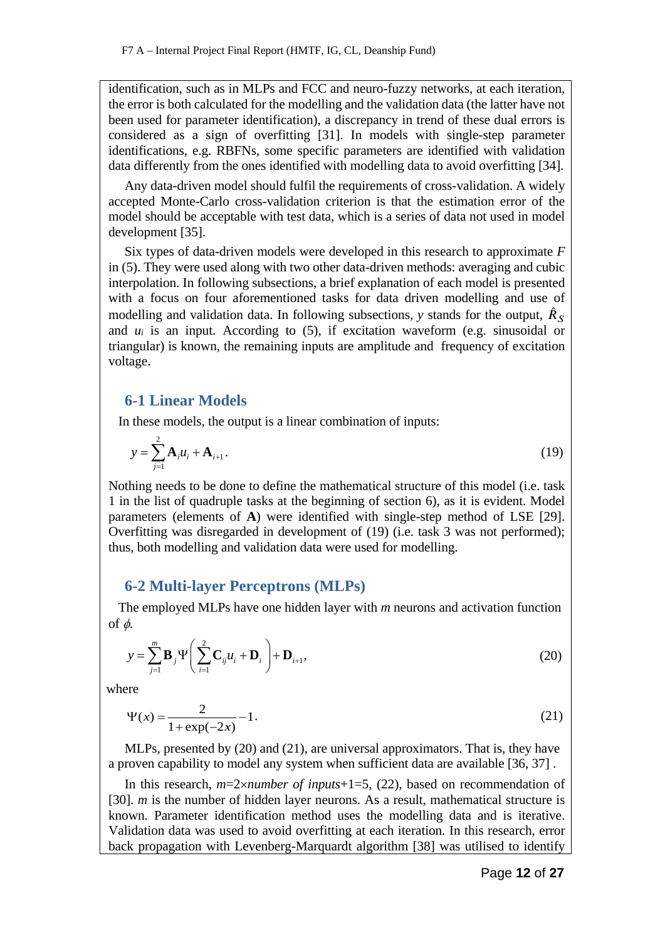identification, such as in MLPs and FCC and neuro-fuzzy networks, at each iteration, the error is both calculated for the modelling and the validation data (the latter have not been used for parameter identification), a discrepancy in trend of these dual errors is considered as a sign of overfitting [31]. In models with single-step parameter identifications, e.g. RBFNs, some specific parameters are identified with validation data differently from the ones identified with modelling data to avoid overfitting [34].

Any data-driven model should fulfil the requirements of cross-validation. A widely accepted Monte-Carlo cross-validation criterion is that the estimation error of the model should be acceptable with test data, which is a series of data not used in model development [35].

Six types of data-driven models were developed in this research to approximate *F* in (5). They were used along with two other data-driven methods: averaging and cubic interpolation. In following subsections, a brief explanation of each model is presented with a focus on four aforementioned tasks for data driven modelling and use of modelling and validation data. In following subsections, *y* stands for the output,  $\hat{R}_S$ and *ui* is an input. According to (5), if excitation waveform (e.g. sinusoidal or triangular) is known, the remaining inputs are amplitude and frequency of excitation voltage.

## **6-1 Linear Models**

In these models, the output is a linear combination of inputs:

$$
y = \sum_{j=1}^{2} \mathbf{A}_{i} u_{i} + \mathbf{A}_{i+1}.
$$
 (19)

Nothing needs to be done to define the mathematical structure of this model (i.e. task 1 in the list of quadruple tasks at the beginning of section 6), as it is evident. Model parameters (elements of **A**) were identified with single-step method of LSE [29]. Overfitting was disregarded in development of (19) (i.e. task 3 was not performed); thus, both modelling and validation data were used for modelling.

# **6-2 Multi-layer Perceptrons (MLPs)**

 The employed MLPs have one hidden layer with *m* neurons and activation function of  $\phi$ .

$$
y = \sum_{j=1}^{m} \mathbf{B}_{j} \Psi \left( \sum_{i=1}^{2} \mathbf{C}_{ij} u_{i} + \mathbf{D}_{i} \right) + \mathbf{D}_{i+1},
$$
\n(20)

where

$$
\Psi(x) = \frac{2}{1 + \exp(-2x)} - 1.
$$
\n(21)

MLPs, presented by (20) and (21), are universal approximators. That is, they have a proven capability to model any system when sufficient data are available [36, 37] .

In this research, *m*=2×*number of inputs*+1=5, (22), based on recommendation of [30]. *m* is the number of hidden layer neurons. As a result, mathematical structure is known. Parameter identification method uses the modelling data and is iterative. Validation data was used to avoid overfitting at each iteration. In this research, error back propagation with Levenberg-Marquardt algorithm [38] was utilised to identify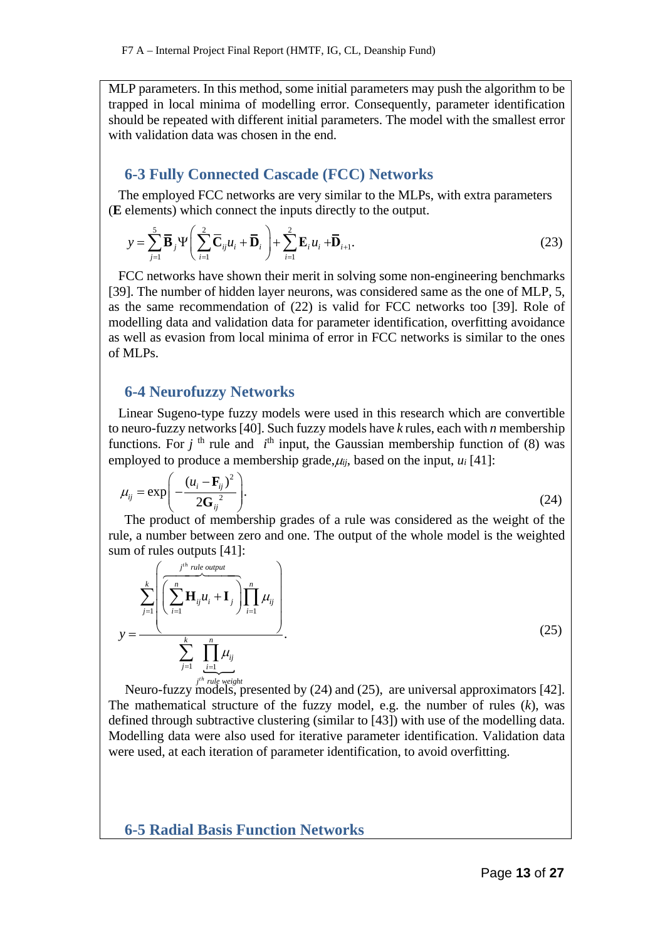MLP parameters. In this method, some initial parameters may push the algorithm to be trapped in local minima of modelling error. Consequently, parameter identification should be repeated with different initial parameters. The model with the smallest error with validation data was chosen in the end.

# **6-3 Fully Connected Cascade (FCC) Networks**

 The employed FCC networks are very similar to the MLPs, with extra parameters (**E** elements) which connect the inputs directly to the output.

$$
y = \sum_{j=1}^{5} \overline{\mathbf{B}}_{j} \Psi \left( \sum_{i=1}^{2} \overline{\mathbf{C}}_{ij} u_{i} + \overline{\mathbf{D}}_{i} \right) + \sum_{i=1}^{2} \mathbf{E}_{i} u_{i} + \overline{\mathbf{D}}_{i+1}.
$$
 (23)

 FCC networks have shown their merit in solving some non-engineering benchmarks [39]. The number of hidden layer neurons, was considered same as the one of MLP, 5, as the same recommendation of (22) is valid for FCC networks too [39]. Role of modelling data and validation data for parameter identification, overfitting avoidance as well as evasion from local minima of error in FCC networks is similar to the ones of MLPs.

## **6-4 Neurofuzzy Networks**

 Linear Sugeno-type fuzzy models were used in this research which are convertible to neuro-fuzzy networks [40]. Such fuzzy models have *k* rules, each with *n* membership functions. For  $j$ <sup>th</sup> rule and  $i$ <sup>th</sup> input, the Gaussian membership function of (8) was employed to produce a membership grade,  $\mu_{ii}$ , based on the input,  $\mu_i$  [41]:

$$
\mu_{ij} = \exp\left(-\frac{(u_i - \mathbf{F}_{ij})^2}{2\mathbf{G}_{ij}^2}\right).
$$
\n(24)

The product of membership grades of a rule was considered as the weight of the rule, a number between zero and one. The output of the whole model is the weighted sum of rules outputs [41]:

$$
y = \frac{\sum_{j=1}^{k} \left( \sum_{i=1}^{n} \mathbf{H}_{ij} u_i + \mathbf{I}_{j} \right) \prod_{i=1}^{n} \mu_{ij}}{\sum_{j=1}^{k} \prod_{\substack{i=1 \ i \neq j}}^{n} \mu_{ij}}.
$$
\n(25)

Neuro-fuzzy models, presented by  $(24)$  and  $(25)$ , are universal approximators [42]. The mathematical structure of the fuzzy model, e.g. the number of rules (*k*), was defined through subtractive clustering (similar to [43]) with use of the modelling data. Modelling data were also used for iterative parameter identification. Validation data were used, at each iteration of parameter identification, to avoid overfitting.

**6-5 Radial Basis Function Networks**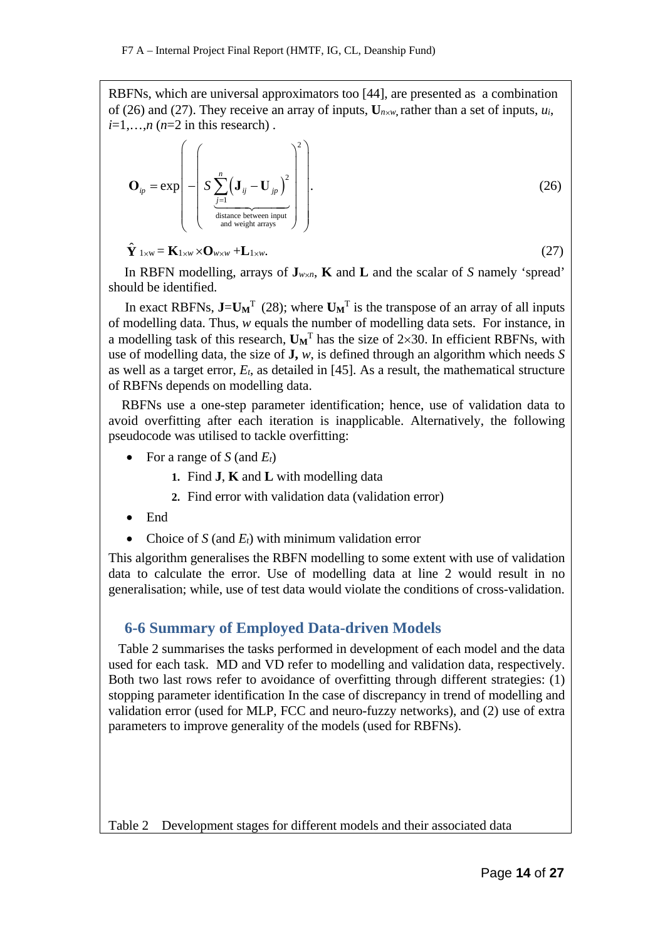RBFNs, which are universal approximators too [44], are presented as a combination of (26) and (27). They receive an array of inputs,  $U_{n \times w}$  rather than a set of inputs,  $u_i$ ,  $i=1,\ldots,n$  ( $n=2$  in this research).

$$
\mathbf{O}_{ip} = \exp\left(-\left(S\sum_{\substack{j=1 \text{distance between input} \text{ input} \text{ input}}}^{n} \left( \mathbf{J}_{ij} - \mathbf{U}_{jp} \right)^2 \right)\right).
$$
(26)

$$
\hat{\mathbf{Y}}_{1\times w} = \mathbf{K}_{1\times w} \times \mathbf{O}_{w \times w} + \mathbf{L}_{1\times w}.\tag{27}
$$

In RBFN modelling, arrays of  $J_{w \times n}$ , **K** and **L** and the scalar of *S* namely 'spread' should be identified.

In exact RBFNs,  $J=U_M^T$  (28); where  $U_M^T$  is the transpose of an array of all inputs of modelling data. Thus, *w* equals the number of modelling data sets. For instance, in a modelling task of this research,  $\mathbf{U_M}^T$  has the size of  $2\times30$ . In efficient RBFNs, with use of modelling data, the size of **J,** *w*, is defined through an algorithm which needs *S*  as well as a target error, *Et*, as detailed in [45]. As a result, the mathematical structure of RBFNs depends on modelling data.

 RBFNs use a one-step parameter identification; hence, use of validation data to avoid overfitting after each iteration is inapplicable. Alternatively, the following pseudocode was utilised to tackle overfitting:

- For a range of  $S$  (and  $E_t$ )
	- **1.** Find **J**, **K** and **L** with modelling data
	- **2.** Find error with validation data (validation error)
- End
- Choice of  $S$  (and  $E_t$ ) with minimum validation error

This algorithm generalises the RBFN modelling to some extent with use of validation data to calculate the error. Use of modelling data at line 2 would result in no generalisation; while, use of test data would violate the conditions of cross-validation.

# **6-6 Summary of Employed Data-driven Models**

 Table 2 summarises the tasks performed in development of each model and the data used for each task. MD and VD refer to modelling and validation data, respectively. Both two last rows refer to avoidance of overfitting through different strategies: (1) stopping parameter identification In the case of discrepancy in trend of modelling and validation error (used for MLP, FCC and neuro-fuzzy networks), and (2) use of extra parameters to improve generality of the models (used for RBFNs).

Table 2 Development stages for different models and their associated data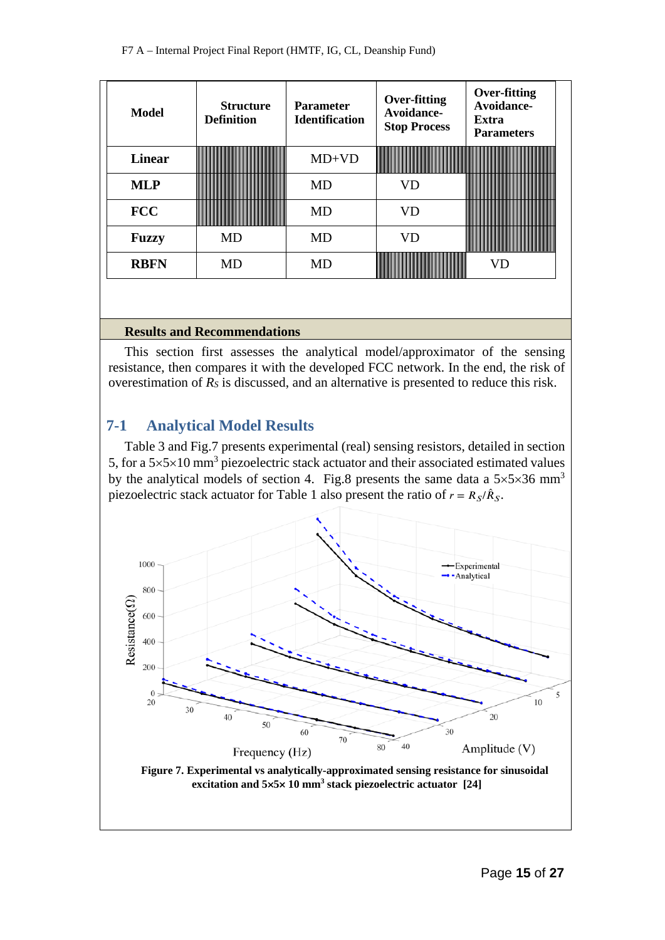| Model         | <b>Structure</b><br><b>Definition</b> | <b>Parameter</b><br><b>Identification</b> | Over-fitting<br>Avoidance-<br><b>Stop Process</b> | <b>Over-fitting</b><br>Avoidance-<br><b>Extra</b><br><b>Parameters</b>                                                                                        |
|---------------|---------------------------------------|-------------------------------------------|---------------------------------------------------|---------------------------------------------------------------------------------------------------------------------------------------------------------------|
| <b>Linear</b> |                                       | $MD+VD$                                   |                                                   |                                                                                                                                                               |
| <b>MLP</b>    |                                       | MD                                        |                                                   | _______________________                                                                                                                                       |
| <b>FCC</b>    |                                       | MD                                        | VD                                                | <u> 1999 - Jan James Barn, manala</u><br><u> 1999 - 1999 - 1999 - 1999 - 1999 - 1999 - 1999 - 1999 - 1999 - 1999 - 1999 - 1999 - 1999 - 1999 - 1999 - 199</u> |
| <b>Fuzzy</b>  | MD                                    | MD                                        | VD                                                | ,,,,,,,,,,,,,,,,,,,,,,,,,,,,,,,<br>------------------------------                                                                                             |
| <b>RBFN</b>   | MD                                    | MD                                        |                                                   | VГ                                                                                                                                                            |

#### **Results and Recommendations**

This section first assesses the analytical model/approximator of the sensing resistance, then compares it with the developed FCC network. In the end, the risk of overestimation of *RS* is discussed, and an alternative is presented to reduce this risk.

# **7-1 Analytical Model Results**

Table 3 and Fig.7 presents experimental (real) sensing resistors, detailed in section 5, for a  $5\times5\times10$  mm<sup>3</sup> piezoelectric stack actuator and their associated estimated values by the analytical models of section 4. Fig.8 presents the same data a  $5\times5\times36$  mm<sup>3</sup> piezoelectric stack actuator for Table 1 also present the ratio of  $r = R_S/\hat{R}_S$ .



**Figure 7. Experimental vs analytically-approximated sensing resistance for sinusoidal excitation and 5**×**5**× **10 mm3 stack piezoelectric actuator [24]**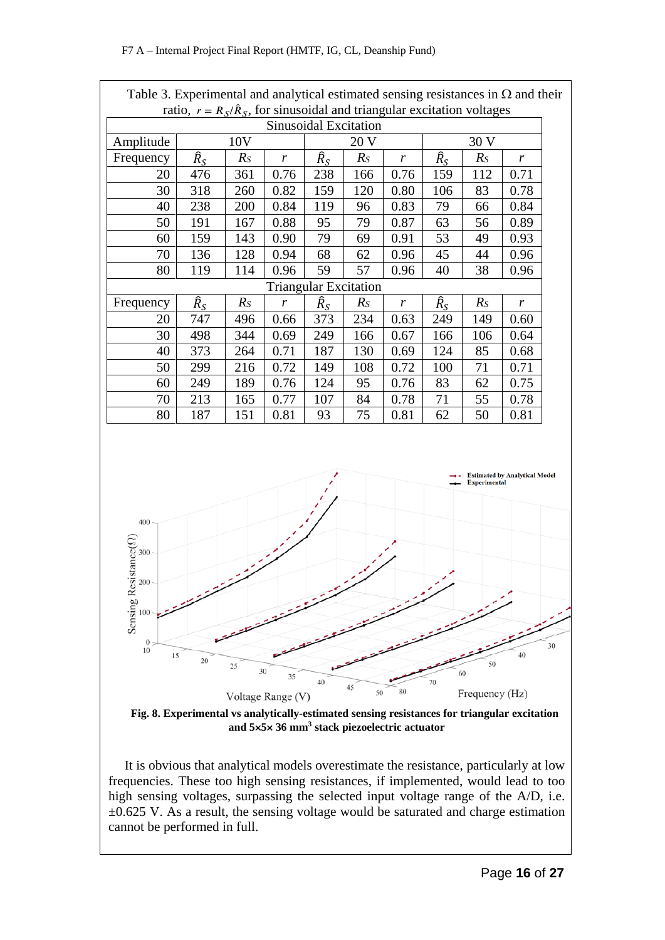| Table 3. Experimental and analytical estimated sensing resistances in $\Omega$ and their        |                                                                                |       |      |                              |       |                  |                   |       |      |    |
|-------------------------------------------------------------------------------------------------|--------------------------------------------------------------------------------|-------|------|------------------------------|-------|------------------|-------------------|-------|------|----|
|                                                                                                 | ratio, $r = R_S/\hat{R}_S$ , for sinusoidal and triangular excitation voltages |       |      |                              |       |                  |                   |       |      |    |
|                                                                                                 |                                                                                |       |      | Sinusoidal Excitation        |       |                  |                   |       |      |    |
| Amplitude                                                                                       |                                                                                | 10V   |      |                              | 20 V  |                  |                   | 30 V  |      |    |
| Frequency                                                                                       | $\widehat{R}_{S}$                                                              | $R_S$ | r    | $\widehat{R}_{S}$            | $R_S$ | r                | $\widehat{R}_{S}$ | $R_S$ | r    |    |
| 20                                                                                              | 476                                                                            | 361   | 0.76 | 238                          | 166   | 0.76             | 159               | 112   | 0.71 |    |
| 30                                                                                              | 318                                                                            | 260   | 0.82 | 159                          | 120   | 0.80             | 106               | 83    | 0.78 |    |
| 40                                                                                              | 238                                                                            | 200   | 0.84 | 119                          | 96    | 0.83             | 79                | 66    | 0.84 |    |
| 50                                                                                              | 191                                                                            | 167   | 0.88 | 95                           | 79    | 0.87             | 63                | 56    | 0.89 |    |
| 60                                                                                              | 159                                                                            | 143   | 0.90 | 79                           | 69    | 0.91             | 53                | 49    | 0.93 |    |
| 70                                                                                              | 136                                                                            | 128   | 0.94 | 68                           | 62    | 0.96             | 45                | 44    | 0.96 |    |
| 80                                                                                              | 119                                                                            | 114   | 0.96 | 59                           | 57    | 0.96             | 40                | 38    | 0.96 |    |
|                                                                                                 |                                                                                |       |      | <b>Triangular Excitation</b> |       |                  |                   |       |      |    |
| Frequency                                                                                       | $\widehat{R}_{S}$                                                              | $R_S$ | r    | $\widehat{R}_{S}$            | $R_S$ | $\boldsymbol{r}$ | $\widehat{R}_{S}$ | $R_S$ | r    |    |
| 20                                                                                              | 747                                                                            | 496   | 0.66 | 373                          | 234   | 0.63             | 249               | 149   | 0.60 |    |
| 30                                                                                              | 498                                                                            | 344   | 0.69 | 249                          | 166   | 0.67             | 166               | 106   | 0.64 |    |
| 40                                                                                              | 373                                                                            | 264   | 0.71 | 187                          | 130   | 0.69             | 124               | 85    | 0.68 |    |
| 50                                                                                              | 299                                                                            | 216   | 0.72 | 149                          | 108   | 0.72             | 100               | 71    | 0.71 |    |
| 60                                                                                              | 249                                                                            | 189   | 0.76 | 124                          | 95    | 0.76             | 83                | 62    | 0.75 |    |
| 70                                                                                              | 213                                                                            | 165   | 0.77 | 107                          | 84    | 0.78             | 71                | 55    | 0.78 |    |
| 80                                                                                              | 187                                                                            | 151   | 0.81 | 93                           | 75    | 0.81             | 62                | 50    | 0.81 |    |
|                                                                                                 |                                                                                |       |      |                              |       |                  |                   |       |      |    |
|                                                                                                 | <b>Estimated by Analytical Model</b><br><b>Experimental</b>                    |       |      |                              |       |                  |                   |       |      |    |
| 400                                                                                             |                                                                                |       |      |                              |       |                  |                   |       |      |    |
| $\text{e}$ sistance $(\Omega)$<br>300                                                           |                                                                                |       |      |                              |       |                  |                   |       |      |    |
|                                                                                                 |                                                                                |       |      |                              |       |                  |                   |       |      |    |
| 200                                                                                             |                                                                                |       |      |                              |       |                  |                   |       |      |    |
| Sensing R<br>100                                                                                |                                                                                |       |      |                              |       |                  |                   |       |      |    |
|                                                                                                 |                                                                                |       |      |                              |       |                  |                   |       |      |    |
| $\boldsymbol{0}$                                                                                |                                                                                |       |      |                              |       |                  |                   |       |      | 30 |
| 10                                                                                              |                                                                                |       |      |                              |       |                  |                   |       | 40   |    |
|                                                                                                 |                                                                                |       |      |                              |       |                  |                   |       |      |    |
|                                                                                                 |                                                                                |       |      |                              | 45    | 80               |                   |       |      |    |
| 15<br>20<br>50<br>25<br>30<br>60<br>35<br>40<br>70<br>50<br>Frequency (Hz)<br>Voltage Range (V) |                                                                                |       |      |                              |       |                  |                   |       |      |    |

**Fig. 8. Experimental vs analytically-estimated sensing resistances for triangular excitation and 5**×**5**× **36 mm3 stack piezoelectric actuator**

It is obvious that analytical models overestimate the resistance, particularly at low frequencies. These too high sensing resistances, if implemented, would lead to too high sensing voltages, surpassing the selected input voltage range of the A/D, i.e.  $\pm 0.625$  V. As a result, the sensing voltage would be saturated and charge estimation cannot be performed in full.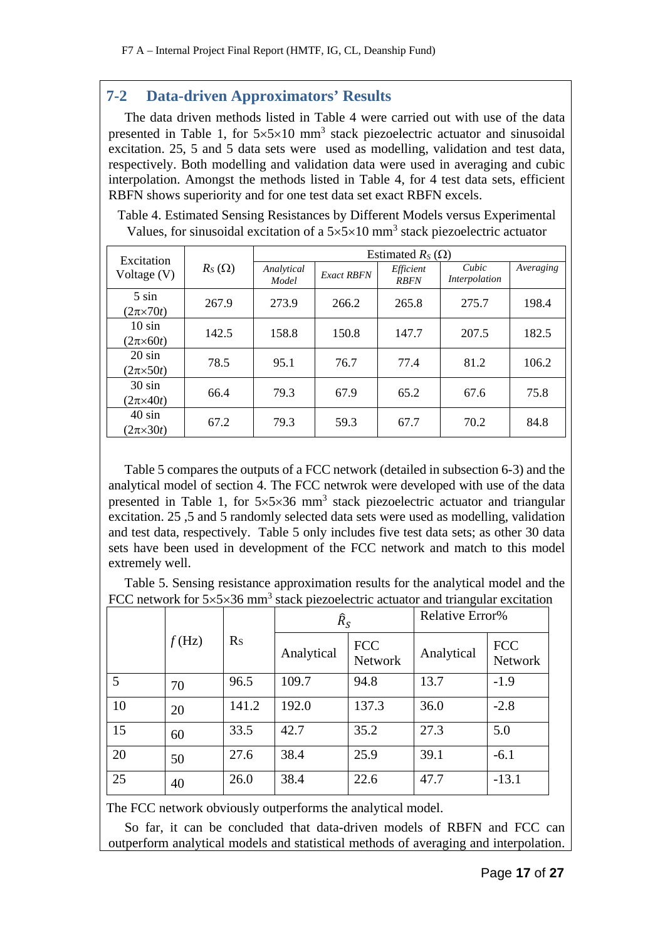# **7-2 Data-driven Approximators' Results**

The data driven methods listed in Table 4 were carried out with use of the data presented in Table 1, for  $5\times5\times10$  mm<sup>3</sup> stack piezoelectric actuator and sinusoidal excitation. 25, 5 and 5 data sets were used as modelling, validation and test data, respectively. Both modelling and validation data were used in averaging and cubic interpolation. Amongst the methods listed in Table 4, for 4 test data sets, efficient RBFN shows superiority and for one test data set exact RBFN excels.

Table 4. Estimated Sensing Resistances by Different Models versus Experimental Values, for sinusoidal excitation of a  $5\times5\times10$  mm<sup>3</sup> stack piezoelectric actuator

| Excitation                       |               |                     |                   | Estimated $R_S(\Omega)$  |                        |           |
|----------------------------------|---------------|---------------------|-------------------|--------------------------|------------------------|-----------|
| Voltage $(V)$                    | $R_S(\Omega)$ | Analytical<br>Model | <b>Exact RBFN</b> | Efficient<br><b>RBFN</b> | Cubic<br>Interpolation | Averaging |
| $5 \sin$<br>$(2\pi \times 70t)$  | 267.9         | 273.9               | 266.2             | 265.8                    | 275.7                  | 198.4     |
| $10 \sin$<br>$(2\pi \times 60t)$ | 142.5         | 158.8               | 150.8             | 147.7                    | 207.5                  | 182.5     |
| $20 \sin$<br>$(2\pi \times 50t)$ | 78.5          | 95.1                | 76.7              | 77.4                     | 81.2                   | 106.2     |
| $30 \sin$<br>$(2\pi\times 40t)$  | 66.4          | 79.3                | 67.9              | 65.2                     | 67.6                   | 75.8      |
| $40 \sin$<br>$(2\pi \times 30t)$ | 67.2          | 79.3                | 59.3              | 67.7                     | 70.2                   | 84.8      |

Table 5 compares the outputs of a FCC network (detailed in subsection 6-3) and the analytical model of section 4. The FCC netwrok were developed with use of the data presented in Table 1, for  $5\times5\times36$  mm<sup>3</sup> stack piezoelectric actuator and triangular excitation. 25 ,5 and 5 randomly selected data sets were used as modelling, validation and test data, respectively. Table 5 only includes five test data sets; as other 30 data sets have been used in development of the FCC network and match to this model extremely well.

Table 5. Sensing resistance approximation results for the analytical model and the FCC network for  $5\times5\times36$  mm<sup>3</sup> stack piezoelectric actuator and triangular excitation

|    |          |                | $\widehat{R}_{S}$ |                              | Relative Error% |                       |
|----|----------|----------------|-------------------|------------------------------|-----------------|-----------------------|
|    | $f$ (Hz) | R <sub>S</sub> | Analytical        | <b>FCC</b><br><b>Network</b> | Analytical      | <b>FCC</b><br>Network |
| 5  | 70       | 96.5           | 109.7             | 94.8                         | 13.7            | $-1.9$                |
| 10 | 20       | 141.2          | 192.0             | 137.3                        | 36.0            | $-2.8$                |
| 15 | 60       | 33.5           | 42.7              | 35.2                         | 27.3            | 5.0                   |
| 20 | 50       | 27.6           | 38.4              | 25.9                         | 39.1            | $-6.1$                |
| 25 | 40       | 26.0           | 38.4              | 22.6                         | 47.7            | $-13.1$               |

The FCC network obviously outperforms the analytical model.

So far, it can be concluded that data-driven models of RBFN and FCC can outperform analytical models and statistical methods of averaging and interpolation.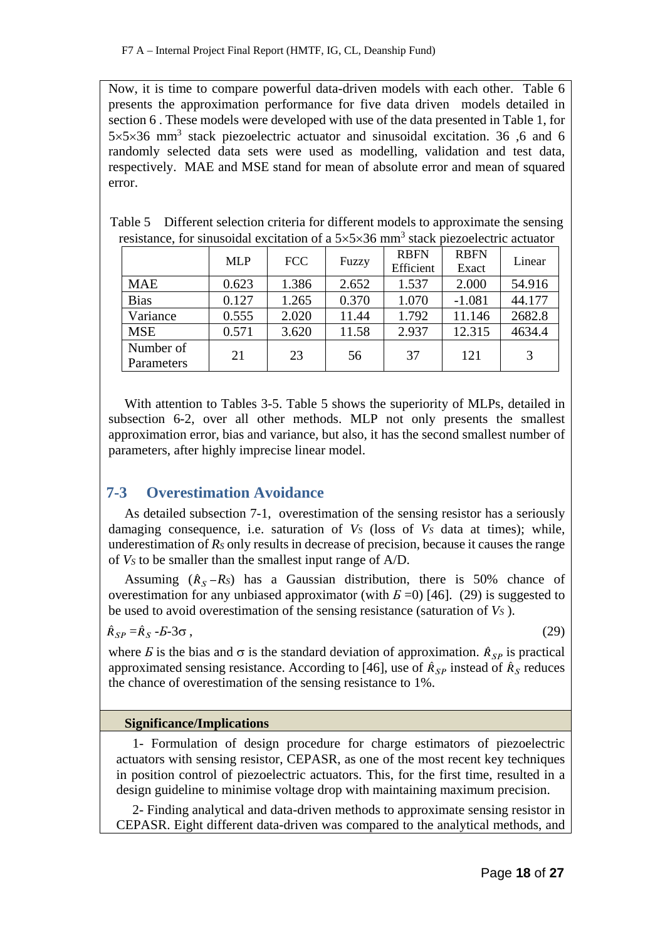Now, it is time to compare powerful data-driven models with each other. Table 6 presents the approximation performance for five data driven models detailed in section 6 . These models were developed with use of the data presented in Table 1, for 5×5×36 mm3 stack piezoelectric actuator and sinusoidal excitation. 36 ,6 and 6 randomly selected data sets were used as modelling, validation and test data, respectively. MAE and MSE stand for mean of absolute error and mean of squared error.

|                         | <b>MLP</b> | <b>FCC</b> | Fuzzy | <b>RBFN</b><br>Efficient | <b>RBFN</b><br>Exact | Linear |
|-------------------------|------------|------------|-------|--------------------------|----------------------|--------|
| <b>MAE</b>              | 0.623      | 1.386      | 2.652 | 1.537                    | 2.000                | 54.916 |
| <b>Bias</b>             | 0.127      | 1.265      | 0.370 | 1.070                    | $-1.081$             | 44.177 |
| Variance                | 0.555      | 2.020      | 11.44 | 1.792                    | 11.146               | 2682.8 |
| <b>MSE</b>              | 0.571      | 3.620      | 11.58 | 2.937                    | 12.315               | 4634.4 |
| Number of<br>Parameters | 21         | 23         | 56    | 37                       | 121                  |        |

| Table 5 Different selection criteria for different models to approximate the sensing                       |
|------------------------------------------------------------------------------------------------------------|
| resistance, for sinusoidal excitation of a $5\times5\times36$ mm <sup>3</sup> stack piezoelectric actuator |

With attention to Tables 3-5. Table 5 shows the superiority of MLPs, detailed in subsection 6-2, over all other methods. MLP not only presents the smallest approximation error, bias and variance, but also, it has the second smallest number of parameters, after highly imprecise linear model.

# **7-3 Overestimation Avoidance**

As detailed subsection 7-1, overestimation of the sensing resistor has a seriously damaging consequence, i.e. saturation of  $V_S$  (loss of  $V_S$  data at times); while, underestimation of *RS* only results in decrease of precision, because it causes the range of *VS* to be smaller than the smallest input range of A/D.

Assuming  $(\hat{R}_s - R_s)$  has a Gaussian distribution, there is 50% chance of overestimation for any unbiased approximator (with  $E=0$ ) [46]. (29) is suggested to be used to avoid overestimation of the sensing resistance (saturation of *VS* ).

$$
\hat{R}_{SP} = \hat{R}_S - E - 3\sigma \,,\tag{29}
$$

where *E* is the bias and  $\sigma$  is the standard deviation of approximation.  $\hat{R}_{SP}$  is practical approximated sensing resistance. According to [46], use of  $\hat{R}_{SP}$  instead of  $\hat{R}_{S}$  reduces the chance of overestimation of the sensing resistance to 1%.

## **Significance/Implications**

1- Formulation of design procedure for charge estimators of piezoelectric actuators with sensing resistor, CEPASR, as one of the most recent key techniques in position control of piezoelectric actuators. This, for the first time, resulted in a design guideline to minimise voltage drop with maintaining maximum precision.

2- Finding analytical and data-driven methods to approximate sensing resistor in CEPASR. Eight different data-driven was compared to the analytical methods, and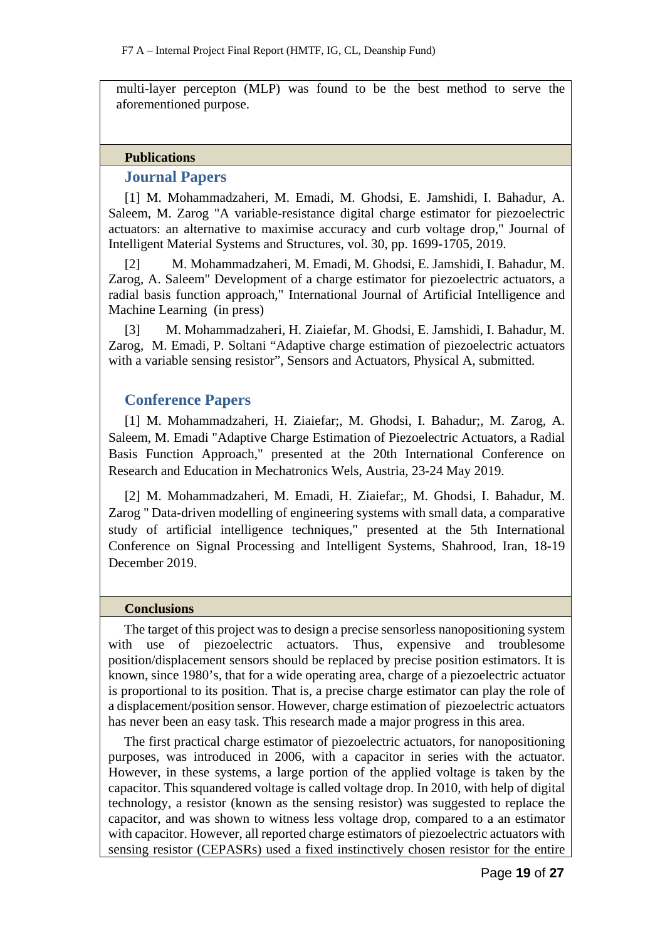multi-layer percepton (MLP) was found to be the best method to serve the aforementioned purpose.

#### **Publications**

### **Journal Papers**

[1] M. Mohammadzaheri, M. Emadi, M. Ghodsi, E. Jamshidi, I. Bahadur, A. Saleem, M. Zarog "A variable-resistance digital charge estimator for piezoelectric actuators: an alternative to maximise accuracy and curb voltage drop," Journal of Intelligent Material Systems and Structures, vol. 30, pp. 1699-1705, 2019.

[2] M. Mohammadzaheri, M. Emadi, M. Ghodsi, E. Jamshidi, I. Bahadur, M. Zarog, A. Saleem" Development of a charge estimator for piezoelectric actuators, a radial basis function approach," International Journal of Artificial Intelligence and Machine Learning (in press)

[3] M. Mohammadzaheri, H. Ziaiefar, M. Ghodsi, E. Jamshidi, I. Bahadur, M. Zarog, M. Emadi, P. Soltani "Adaptive charge estimation of piezoelectric actuators with a variable sensing resistor", Sensors and Actuators, Physical A, submitted.

## **Conference Papers**

[1] M. Mohammadzaheri, H. Ziaiefar;, M. Ghodsi, I. Bahadur;, M. Zarog, A. Saleem, M. Emadi "Adaptive Charge Estimation of Piezoelectric Actuators, a Radial Basis Function Approach," presented at the 20th International Conference on Research and Education in Mechatronics Wels, Austria, 23-24 May 2019.

[2] M. Mohammadzaheri, M. Emadi, H. Ziaiefar;, M. Ghodsi, I. Bahadur, M. Zarog " Data-driven modelling of engineering systems with small data, a comparative study of artificial intelligence techniques," presented at the 5th International Conference on Signal Processing and Intelligent Systems, Shahrood, Iran, 18-19 December 2019.

#### **Conclusions**

The target of this project was to design a precise sensorless nanopositioning system with use of piezoelectric actuators. Thus, expensive and troublesome position/displacement sensors should be replaced by precise position estimators. It is known, since 1980's, that for a wide operating area, charge of a piezoelectric actuator is proportional to its position. That is, a precise charge estimator can play the role of a displacement/position sensor. However, charge estimation of piezoelectric actuators has never been an easy task. This research made a major progress in this area.

The first practical charge estimator of piezoelectric actuators, for nanopositioning purposes, was introduced in 2006, with a capacitor in series with the actuator. However, in these systems, a large portion of the applied voltage is taken by the capacitor. This squandered voltage is called voltage drop. In 2010, with help of digital technology, a resistor (known as the sensing resistor) was suggested to replace the capacitor, and was shown to witness less voltage drop, compared to a an estimator with capacitor. However, all reported charge estimators of piezoelectric actuators with sensing resistor (CEPASRs) used a fixed instinctively chosen resistor for the entire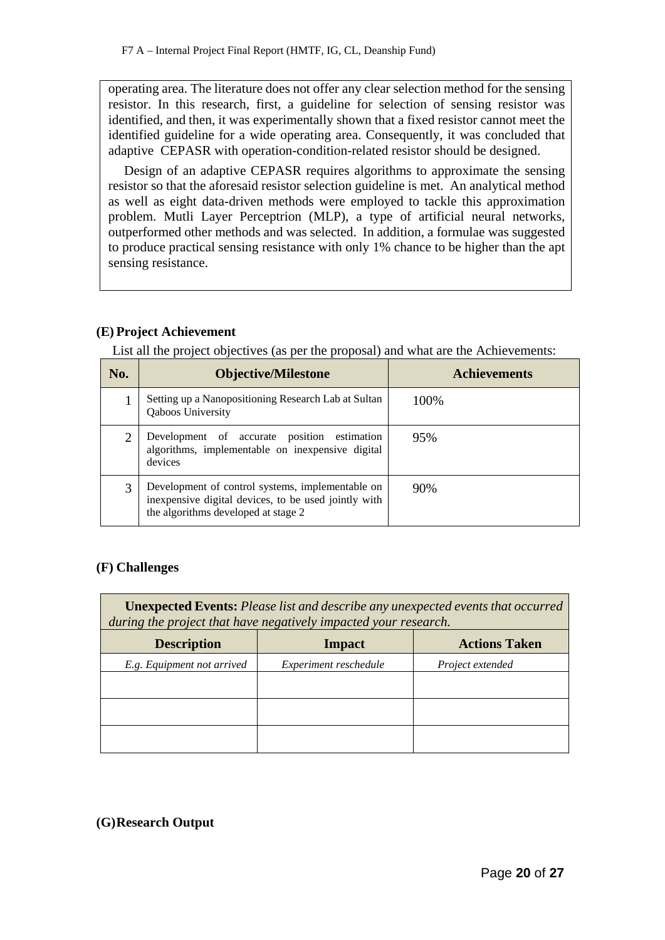operating area. The literature does not offer any clear selection method for the sensing resistor. In this research, first, a guideline for selection of sensing resistor was identified, and then, it was experimentally shown that a fixed resistor cannot meet the identified guideline for a wide operating area. Consequently, it was concluded that adaptive CEPASR with operation-condition-related resistor should be designed.

Design of an adaptive CEPASR requires algorithms to approximate the sensing resistor so that the aforesaid resistor selection guideline is met. An analytical method as well as eight data-driven methods were employed to tackle this approximation problem. Mutli Layer Perceptrion (MLP), a type of artificial neural networks, outperformed other methods and was selected. In addition, a formulae was suggested to produce practical sensing resistance with only 1% chance to be higher than the apt sensing resistance.

### **(E) Project Achievement**

List all the project objectives (as per the proposal) and what are the Achievements:

| No.            | <b>Objective/Milestone</b>                                                                                                                      | <b>Achievements</b> |
|----------------|-------------------------------------------------------------------------------------------------------------------------------------------------|---------------------|
|                | Setting up a Nanopositioning Research Lab at Sultan<br><b>Qaboos University</b>                                                                 | 100%                |
| $\overline{2}$ | Development of accurate position estimation<br>algorithms, implementable on inexpensive digital<br>devices                                      | 95%                 |
| 3              | Development of control systems, implementable on<br>inexpensive digital devices, to be used jointly with<br>the algorithms developed at stage 2 | 90%                 |

### **(F) Challenges**

**Unexpected Events:** *Please list and describe any unexpected events that occurred during the project that have negatively impacted your research.*

| <b>Description</b>         | <b>Impact</b>         | <b>Actions Taken</b> |
|----------------------------|-----------------------|----------------------|
| E.g. Equipment not arrived | Experiment reschedule | Project extended     |
|                            |                       |                      |
|                            |                       |                      |
|                            |                       |                      |
|                            |                       |                      |
|                            |                       |                      |

## **(G)Research Output**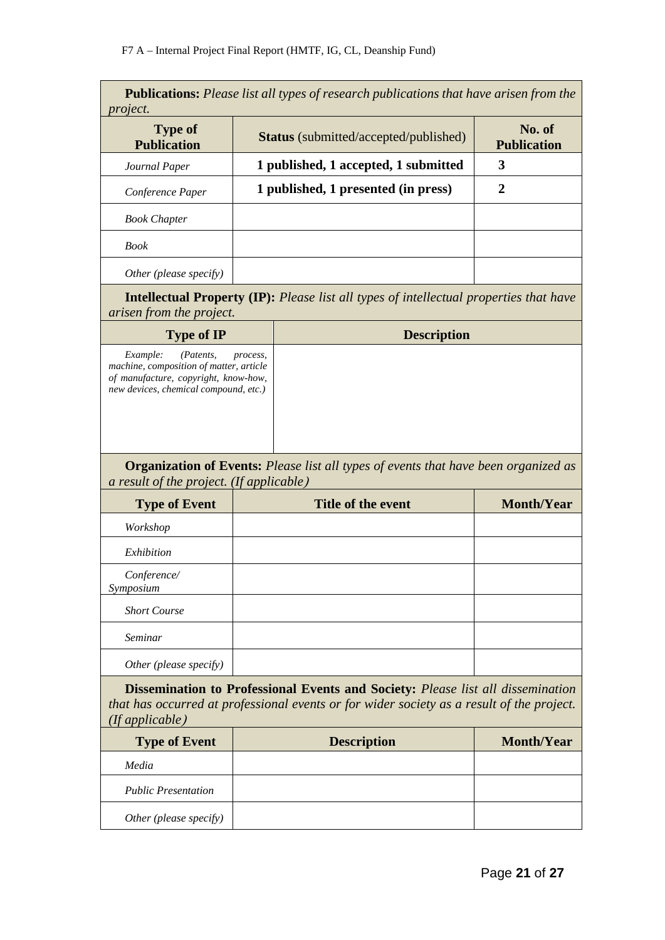| project.                                                                                                                                          | <b>Publications:</b> Please list all types of research publications that have arisen from the                                                                                       |                              |
|---------------------------------------------------------------------------------------------------------------------------------------------------|-------------------------------------------------------------------------------------------------------------------------------------------------------------------------------------|------------------------------|
| <b>Type of</b><br><b>Publication</b>                                                                                                              | <b>Status</b> (submitted/accepted/published)                                                                                                                                        | No. of<br><b>Publication</b> |
| Journal Paper                                                                                                                                     | 1 published, 1 accepted, 1 submitted                                                                                                                                                | 3                            |
| Conference Paper                                                                                                                                  | 1 published, 1 presented (in press)                                                                                                                                                 | $\mathbf 2$                  |
| <b>Book Chapter</b>                                                                                                                               |                                                                                                                                                                                     |                              |
| <b>Book</b>                                                                                                                                       |                                                                                                                                                                                     |                              |
| Other (please specify)                                                                                                                            |                                                                                                                                                                                     |                              |
| arisen from the project.                                                                                                                          | <b>Intellectual Property (IP):</b> Please list all types of intellectual properties that have                                                                                       |                              |
| <b>Type of IP</b>                                                                                                                                 | <b>Description</b>                                                                                                                                                                  |                              |
| Example:<br>(Patents.<br>machine, composition of matter, article<br>of manufacture, copyright, know-how,<br>new devices, chemical compound, etc.) | process,                                                                                                                                                                            |                              |
|                                                                                                                                                   | <b>Organization of Events:</b> Please list all types of events that have been organized as                                                                                          |                              |
| a result of the project. (If applicable)                                                                                                          |                                                                                                                                                                                     |                              |
| <b>Type of Event</b>                                                                                                                              | <b>Title of the event</b>                                                                                                                                                           | <b>Month/Year</b>            |
| Workshop                                                                                                                                          |                                                                                                                                                                                     |                              |
| Exhibition                                                                                                                                        |                                                                                                                                                                                     |                              |
| Conference/<br>Symposium                                                                                                                          |                                                                                                                                                                                     |                              |
| <b>Short Course</b>                                                                                                                               |                                                                                                                                                                                     |                              |
| Seminar                                                                                                                                           |                                                                                                                                                                                     |                              |
| Other (please specify)                                                                                                                            |                                                                                                                                                                                     |                              |
| (If applicable)                                                                                                                                   | <b>Dissemination to Professional Events and Society:</b> Please list all dissemination<br>that has occurred at professional events or for wider society as a result of the project. |                              |
| <b>Type of Event</b>                                                                                                                              | <b>Description</b>                                                                                                                                                                  | <b>Month/Year</b>            |
| Media                                                                                                                                             |                                                                                                                                                                                     |                              |
| <b>Public Presentation</b>                                                                                                                        |                                                                                                                                                                                     |                              |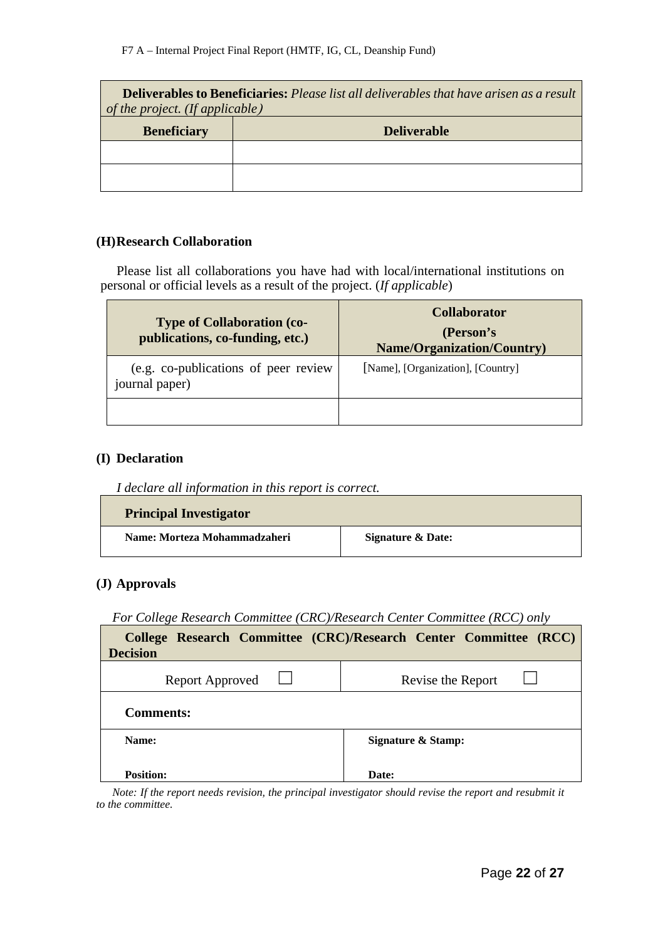| <b>Deliverables to Beneficiaries:</b> Please list all deliverables that have arisen as a result<br>of the project. (If applicable) |                    |  |
|------------------------------------------------------------------------------------------------------------------------------------|--------------------|--|
| <b>Beneficiary</b>                                                                                                                 | <b>Deliverable</b> |  |
|                                                                                                                                    |                    |  |
|                                                                                                                                    |                    |  |

#### **(H)Research Collaboration**

Please list all collaborations you have had with local/international institutions on personal or official levels as a result of the project. (*If applicable*)

| <b>Type of Collaboration (co-</b><br>publications, co-funding, etc.) | <b>Collaborator</b><br>(Person's<br><b>Name/Organization/Country)</b> |  |  |
|----------------------------------------------------------------------|-----------------------------------------------------------------------|--|--|
| (e.g. co-publications of peer review)<br>journal paper)              | [Name], [Organization], [Country]                                     |  |  |
|                                                                      |                                                                       |  |  |

### **(I) Declaration**

 $\mathbf{r}$ 

| I declare all information in this report is correct. |  |  |  |  |
|------------------------------------------------------|--|--|--|--|
|                                                      |  |  |  |  |

| <b>Principal Investigator</b> |                   |
|-------------------------------|-------------------|
| Name: Morteza Mohammadzaheri  | Signature & Date: |

### **(J) Approvals**

*For College Research Committee (CRC)/Research Center Committee (RCC) only*

| <b>Decision</b>        | College Research Committee (CRC)/Research Center Committee (RCC) |
|------------------------|------------------------------------------------------------------|
| <b>Report Approved</b> | Revise the Report                                                |
| <b>Comments:</b>       |                                                                  |
| Name:                  | <b>Signature &amp; Stamp:</b>                                    |
| <b>Position:</b>       | Date:                                                            |

*Note: If the report needs revision, the principal investigator should revise the report and resubmit it to the committee.*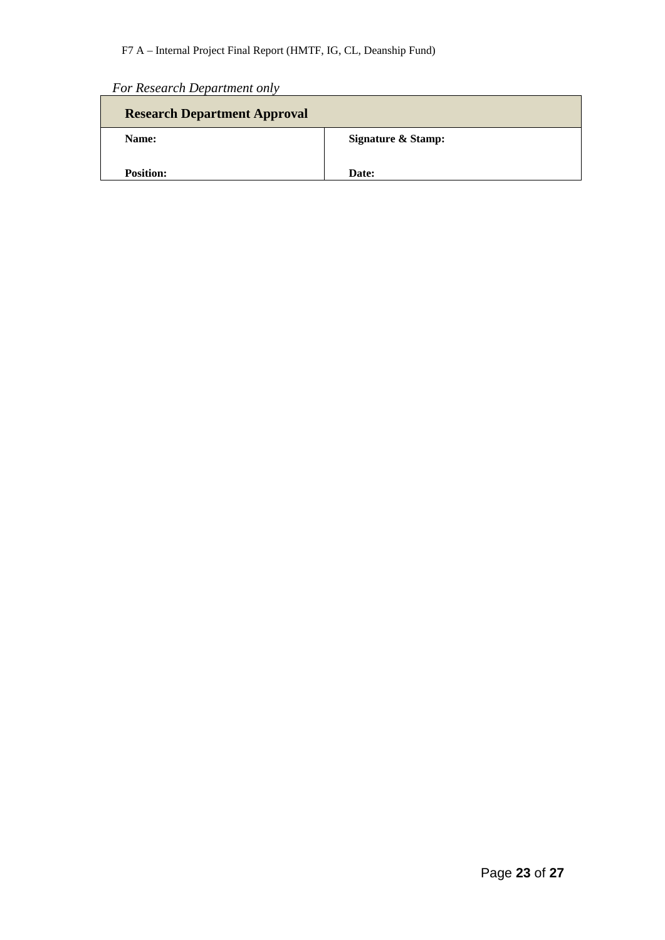| For Research Department only |  |
|------------------------------|--|
|------------------------------|--|

| <b>Research Department Approval</b> |                               |
|-------------------------------------|-------------------------------|
| Name:                               | <b>Signature &amp; Stamp:</b> |
| <b>Position:</b>                    | Date:                         |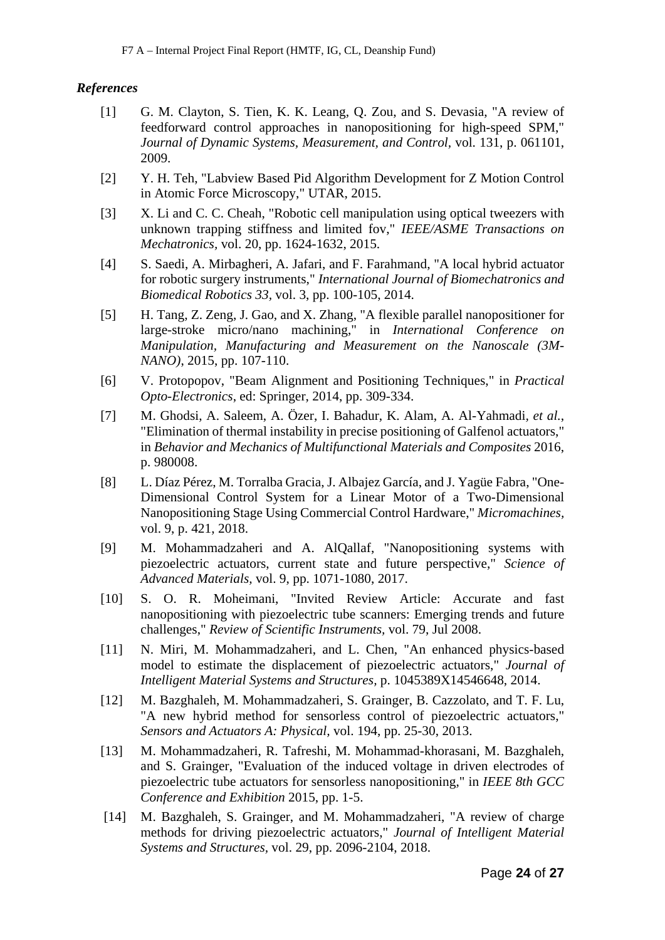### *References*

- [1] G. M. Clayton, S. Tien, K. K. Leang, Q. Zou, and S. Devasia, "A review of feedforward control approaches in nanopositioning for high-speed SPM," *Journal of Dynamic Systems, Measurement, and Control,* vol. 131, p. 061101, 2009.
- [2] Y. H. Teh, "Labview Based Pid Algorithm Development for Z Motion Control in Atomic Force Microscopy," UTAR, 2015.
- [3] X. Li and C. C. Cheah, "Robotic cell manipulation using optical tweezers with unknown trapping stiffness and limited fov," *IEEE/ASME Transactions on Mechatronics,* vol. 20, pp. 1624-1632, 2015.
- [4] S. Saedi, A. Mirbagheri, A. Jafari, and F. Farahmand, "A local hybrid actuator for robotic surgery instruments," *International Journal of Biomechatronics and Biomedical Robotics 33,* vol. 3, pp. 100-105, 2014.
- [5] H. Tang, Z. Zeng, J. Gao, and X. Zhang, "A flexible parallel nanopositioner for large-stroke micro/nano machining," in *International Conference on Manipulation, Manufacturing and Measurement on the Nanoscale (3M-NANO)*, 2015, pp. 107-110.
- [6] V. Protopopov, "Beam Alignment and Positioning Techniques," in *Practical Opto-Electronics*, ed: Springer, 2014, pp. 309-334.
- [7] M. Ghodsi, A. Saleem, A. Özer, I. Bahadur, K. Alam, A. Al-Yahmadi*, et al.*, "Elimination of thermal instability in precise positioning of Galfenol actuators," in *Behavior and Mechanics of Multifunctional Materials and Composites* 2016, p. 980008.
- [8] L. Díaz Pérez, M. Torralba Gracia, J. Albajez García, and J. Yagüe Fabra, "One-Dimensional Control System for a Linear Motor of a Two-Dimensional Nanopositioning Stage Using Commercial Control Hardware," *Micromachines,*  vol. 9, p. 421, 2018.
- [9] M. Mohammadzaheri and A. AlQallaf, "Nanopositioning systems with piezoelectric actuators, current state and future perspective," *Science of Advanced Materials,* vol. 9, pp. 1071-1080, 2017.
- [10] S. O. R. Moheimani, "Invited Review Article: Accurate and fast nanopositioning with piezoelectric tube scanners: Emerging trends and future challenges," *Review of Scientific Instruments,* vol. 79, Jul 2008.
- [11] N. Miri, M. Mohammadzaheri, and L. Chen, "An enhanced physics-based model to estimate the displacement of piezoelectric actuators," *Journal of Intelligent Material Systems and Structures,* p. 1045389X14546648, 2014.
- [12] M. Bazghaleh, M. Mohammadzaheri, S. Grainger, B. Cazzolato, and T. F. Lu, "A new hybrid method for sensorless control of piezoelectric actuators," *Sensors and Actuators A: Physical,* vol. 194, pp. 25-30, 2013.
- [13] M. Mohammadzaheri, R. Tafreshi, M. Mohammad-khorasani, M. Bazghaleh, and S. Grainger, "Evaluation of the induced voltage in driven electrodes of piezoelectric tube actuators for sensorless nanopositioning," in *IEEE 8th GCC Conference and Exhibition* 2015, pp. 1-5.
- [14] M. Bazghaleh, S. Grainger, and M. Mohammadzaheri, "A review of charge methods for driving piezoelectric actuators," *Journal of Intelligent Material Systems and Structures,* vol. 29, pp. 2096-2104, 2018.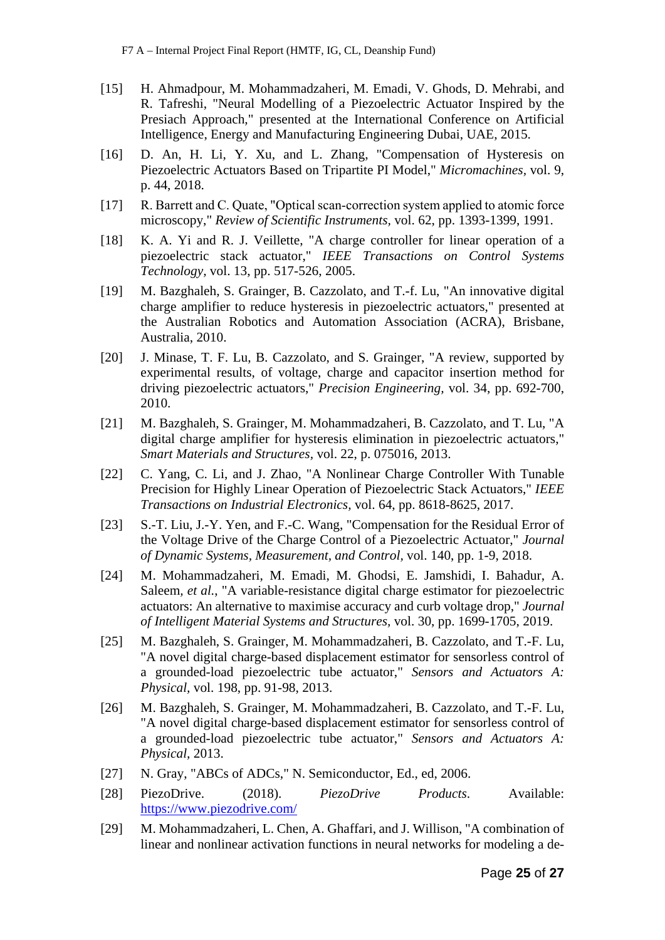- [15] H. Ahmadpour, M. Mohammadzaheri, M. Emadi, V. Ghods, D. Mehrabi, and R. Tafreshi, "Neural Modelling of a Piezoelectric Actuator Inspired by the Presiach Approach," presented at the International Conference on Artificial Intelligence, Energy and Manufacturing Engineering Dubai, UAE, 2015.
- [16] D. An, H. Li, Y. Xu, and L. Zhang, "Compensation of Hysteresis on Piezoelectric Actuators Based on Tripartite PI Model," *Micromachines,* vol. 9, p. 44, 2018.
- [17] R. Barrett and C. Quate, "Optical scan-correction system applied to atomic force microscopy," *Review of Scientific Instruments,* vol. 62, pp. 1393-1399, 1991.
- [18] K. A. Yi and R. J. Veillette, "A charge controller for linear operation of a piezoelectric stack actuator," *IEEE Transactions on Control Systems Technology,* vol. 13, pp. 517-526, 2005.
- [19] M. Bazghaleh, S. Grainger, B. Cazzolato, and T.-f. Lu, "An innovative digital charge amplifier to reduce hysteresis in piezoelectric actuators," presented at the Australian Robotics and Automation Association (ACRA), Brisbane, Australia, 2010.
- [20] J. Minase, T. F. Lu, B. Cazzolato, and S. Grainger, "A review, supported by experimental results, of voltage, charge and capacitor insertion method for driving piezoelectric actuators," *Precision Engineering,* vol. 34, pp. 692-700, 2010.
- [21] M. Bazghaleh, S. Grainger, M. Mohammadzaheri, B. Cazzolato, and T. Lu, "A digital charge amplifier for hysteresis elimination in piezoelectric actuators," *Smart Materials and Structures,* vol. 22, p. 075016, 2013.
- [22] C. Yang, C. Li, and J. Zhao, "A Nonlinear Charge Controller With Tunable Precision for Highly Linear Operation of Piezoelectric Stack Actuators," *IEEE Transactions on Industrial Electronics,* vol. 64, pp. 8618-8625, 2017.
- [23] S.-T. Liu, J.-Y. Yen, and F.-C. Wang, "Compensation for the Residual Error of the Voltage Drive of the Charge Control of a Piezoelectric Actuator," *Journal of Dynamic Systems, Measurement, and Control,* vol. 140, pp. 1-9, 2018.
- [24] M. Mohammadzaheri, M. Emadi, M. Ghodsi, E. Jamshidi, I. Bahadur, A. Saleem*, et al.*, "A variable-resistance digital charge estimator for piezoelectric actuators: An alternative to maximise accuracy and curb voltage drop," *Journal of Intelligent Material Systems and Structures,* vol. 30, pp. 1699-1705, 2019.
- [25] M. Bazghaleh, S. Grainger, M. Mohammadzaheri, B. Cazzolato, and T.-F. Lu, "A novel digital charge-based displacement estimator for sensorless control of a grounded-load piezoelectric tube actuator," *Sensors and Actuators A: Physical,* vol. 198, pp. 91-98, 2013.
- [26] M. Bazghaleh, S. Grainger, M. Mohammadzaheri, B. Cazzolato, and T.-F. Lu, "A novel digital charge-based displacement estimator for sensorless control of a grounded-load piezoelectric tube actuator," *Sensors and Actuators A: Physical,* 2013.
- [27] N. Gray, "ABCs of ADCs," N. Semiconductor, Ed., ed, 2006.
- [28] PiezoDrive. (2018). *PiezoDrive Products*. Available: <https://www.piezodrive.com/>
- [29] M. Mohammadzaheri, L. Chen, A. Ghaffari, and J. Willison, "A combination of linear and nonlinear activation functions in neural networks for modeling a de-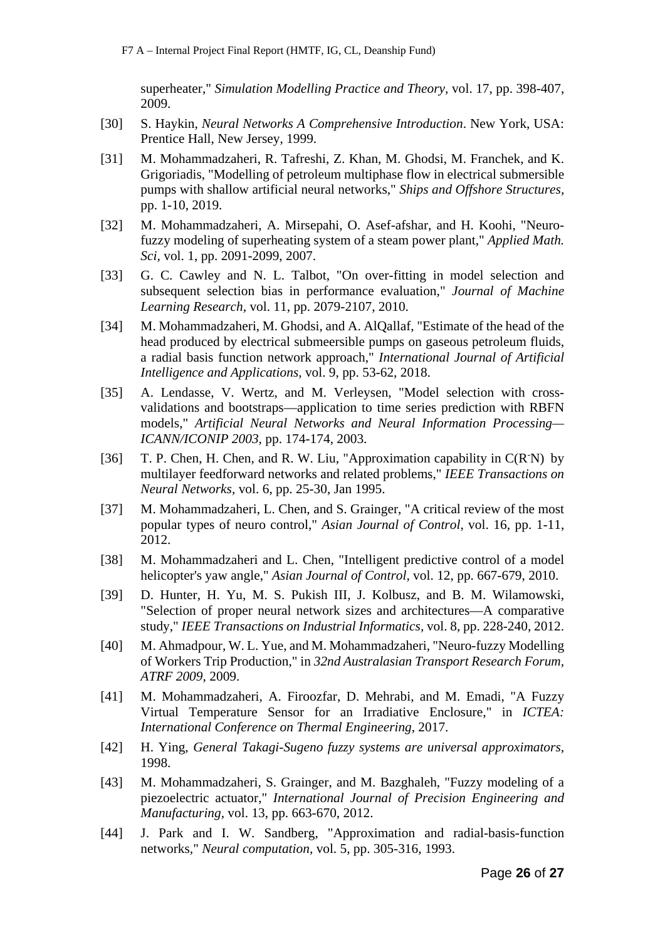superheater," *Simulation Modelling Practice and Theory,* vol. 17, pp. 398-407, 2009.

- [30] S. Haykin, *Neural Networks A Comprehensive Introduction*. New York, USA: Prentice Hall, New Jersey, 1999.
- [31] M. Mohammadzaheri, R. Tafreshi, Z. Khan, M. Ghodsi, M. Franchek, and K. Grigoriadis, "Modelling of petroleum multiphase flow in electrical submersible pumps with shallow artificial neural networks," *Ships and Offshore Structures,*  pp. 1-10, 2019.
- [32] M. Mohammadzaheri, A. Mirsepahi, O. Asef-afshar, and H. Koohi, "Neurofuzzy modeling of superheating system of a steam power plant," *Applied Math. Sci,* vol. 1, pp. 2091-2099, 2007.
- [33] G. C. Cawley and N. L. Talbot, "On over-fitting in model selection and subsequent selection bias in performance evaluation," *Journal of Machine Learning Research,* vol. 11, pp. 2079-2107, 2010.
- [34] M. Mohammadzaheri, M. Ghodsi, and A. AlQallaf, "Estimate of the head of the head produced by electrical submeersible pumps on gaseous petroleum fluids, a radial basis function network approach," *International Journal of Artificial Intelligence and Applications,* vol. 9, pp. 53-62, 2018.
- [35] A. Lendasse, V. Wertz, and M. Verleysen, "Model selection with crossvalidations and bootstraps—application to time series prediction with RBFN models," *Artificial Neural Networks and Neural Information Processing— ICANN/ICONIP 2003,* pp. 174-174, 2003.
- [36] T. P. Chen, H. Chen, and R. W. Liu, "Approximation capability in C(R<sup>-</sup>N) by multilayer feedforward networks and related problems," *IEEE Transactions on Neural Networks,* vol. 6, pp. 25-30, Jan 1995.
- [37] M. Mohammadzaheri, L. Chen, and S. Grainger, "A critical review of the most popular types of neuro control," *Asian Journal of Control,* vol. 16, pp. 1-11, 2012.
- [38] M. Mohammadzaheri and L. Chen, "Intelligent predictive control of a model helicopter's yaw angle," *Asian Journal of Control,* vol. 12, pp. 667-679, 2010.
- [39] D. Hunter, H. Yu, M. S. Pukish III, J. Kolbusz, and B. M. Wilamowski, "Selection of proper neural network sizes and architectures—A comparative study," *IEEE Transactions on Industrial Informatics,* vol. 8, pp. 228-240, 2012.
- [40] M. Ahmadpour, W. L. Yue, and M. Mohammadzaheri, "Neuro-fuzzy Modelling of Workers Trip Production," in *32nd Australasian Transport Research Forum, ATRF 2009*, 2009.
- [41] M. Mohammadzaheri, A. Firoozfar, D. Mehrabi, and M. Emadi, "A Fuzzy Virtual Temperature Sensor for an Irradiative Enclosure," in *ICTEA: International Conference on Thermal Engineering*, 2017.
- [42] H. Ying, *General Takagi-Sugeno fuzzy systems are universal approximators*, 1998.
- [43] M. Mohammadzaheri, S. Grainger, and M. Bazghaleh, "Fuzzy modeling of a piezoelectric actuator," *International Journal of Precision Engineering and Manufacturing,* vol. 13, pp. 663-670, 2012.
- [44] J. Park and I. W. Sandberg, "Approximation and radial-basis-function networks," *Neural computation,* vol. 5, pp. 305-316, 1993.